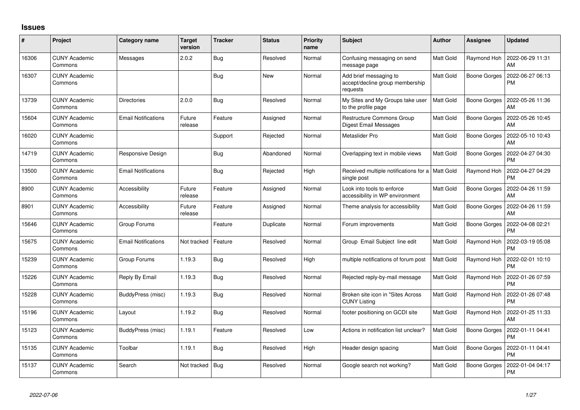## **Issues**

| #     | Project                         | Category name              | <b>Target</b><br>version | <b>Tracker</b> | <b>Status</b> | <b>Priority</b><br>name | <b>Subject</b>                                                        | Author           | <b>Assignee</b>     | <b>Updated</b>                |
|-------|---------------------------------|----------------------------|--------------------------|----------------|---------------|-------------------------|-----------------------------------------------------------------------|------------------|---------------------|-------------------------------|
| 16306 | <b>CUNY Academic</b><br>Commons | Messages                   | 2.0.2                    | <b>Bug</b>     | Resolved      | Normal                  | Confusing messaging on send<br>message page                           | Matt Gold        | Raymond Hoh         | 2022-06-29 11:31<br>AM        |
| 16307 | <b>CUNY Academic</b><br>Commons |                            |                          | Bug            | <b>New</b>    | Normal                  | Add brief messaging to<br>accept/decline group membership<br>requests | Matt Gold        | Boone Gorges        | 2022-06-27 06:13<br><b>PM</b> |
| 13739 | <b>CUNY Academic</b><br>Commons | <b>Directories</b>         | 2.0.0                    | Bug            | Resolved      | Normal                  | My Sites and My Groups take user<br>to the profile page               | <b>Matt Gold</b> | <b>Boone Gorges</b> | 2022-05-26 11:36<br>AM        |
| 15604 | <b>CUNY Academic</b><br>Commons | <b>Email Notifications</b> | Future<br>release        | Feature        | Assigned      | Normal                  | <b>Restructure Commons Group</b><br><b>Digest Email Messages</b>      | Matt Gold        | <b>Boone Gorges</b> | 2022-05-26 10:45<br>AM        |
| 16020 | <b>CUNY Academic</b><br>Commons |                            |                          | Support        | Rejected      | Normal                  | Metaslider Pro                                                        | Matt Gold        | <b>Boone Gorges</b> | 2022-05-10 10:43<br>AM        |
| 14719 | <b>CUNY Academic</b><br>Commons | Responsive Design          |                          | <b>Bug</b>     | Abandoned     | Normal                  | Overlapping text in mobile views                                      | Matt Gold        | Boone Gorges        | 2022-04-27 04:30<br><b>PM</b> |
| 13500 | <b>CUNY Academic</b><br>Commons | <b>Email Notifications</b> |                          | <b>Bug</b>     | Rejected      | High                    | Received multiple notifications for a   Matt Gold<br>single post      |                  | Raymond Hoh         | 2022-04-27 04:29<br><b>PM</b> |
| 8900  | <b>CUNY Academic</b><br>Commons | Accessibility              | Future<br>release        | Feature        | Assigned      | Normal                  | Look into tools to enforce<br>accessibility in WP environment         | Matt Gold        | <b>Boone Gorges</b> | 2022-04-26 11:59<br>AM        |
| 8901  | <b>CUNY Academic</b><br>Commons | <b>Accessibility</b>       | Future<br>release        | Feature        | Assigned      | Normal                  | Theme analysis for accessibility                                      | Matt Gold        | Boone Gorges        | 2022-04-26 11:59<br>AM        |
| 15646 | <b>CUNY Academic</b><br>Commons | Group Forums               |                          | Feature        | Duplicate     | Normal                  | Forum improvements                                                    | <b>Matt Gold</b> | <b>Boone Gorges</b> | 2022-04-08 02:21<br><b>PM</b> |
| 15675 | <b>CUNY Academic</b><br>Commons | <b>Email Notifications</b> | Not tracked              | Feature        | Resolved      | Normal                  | Group Email Subject line edit                                         | <b>Matt Gold</b> | Raymond Hoh         | 2022-03-19 05:08<br><b>PM</b> |
| 15239 | <b>CUNY Academic</b><br>Commons | Group Forums               | 1.19.3                   | <b>Bug</b>     | Resolved      | High                    | multiple notifications of forum post                                  | <b>Matt Gold</b> | Raymond Hoh         | 2022-02-01 10:10<br><b>PM</b> |
| 15226 | <b>CUNY Academic</b><br>Commons | Reply By Email             | 1.19.3                   | Bug            | Resolved      | Normal                  | Rejected reply-by-mail message                                        | <b>Matt Gold</b> | Raymond Hoh         | 2022-01-26 07:59<br><b>PM</b> |
| 15228 | <b>CUNY Academic</b><br>Commons | BuddyPress (misc)          | 1.19.3                   | Bug            | Resolved      | Normal                  | Broken site icon in "Sites Across<br><b>CUNY Listing</b>              | Matt Gold        | Raymond Hoh         | 2022-01-26 07:48<br><b>PM</b> |
| 15196 | <b>CUNY Academic</b><br>Commons | Layout                     | 1.19.2                   | Bug            | Resolved      | Normal                  | footer positioning on GCDI site                                       | <b>Matt Gold</b> | Raymond Hoh         | 2022-01-25 11:33<br>AM        |
| 15123 | <b>CUNY Academic</b><br>Commons | BuddyPress (misc)          | 1.19.1                   | Feature        | Resolved      | Low                     | Actions in notification list unclear?                                 | Matt Gold        | <b>Boone Gorges</b> | 2022-01-11 04:41<br>PM        |
| 15135 | <b>CUNY Academic</b><br>Commons | Toolbar                    | 1.19.1                   | Bug            | Resolved      | High                    | Header design spacing                                                 | Matt Gold        | Boone Gorges        | 2022-01-11 04:41<br><b>PM</b> |
| 15137 | <b>CUNY Academic</b><br>Commons | Search                     | Not tracked              | Bug            | Resolved      | Normal                  | Google search not working?                                            | Matt Gold        | <b>Boone Gorges</b> | 2022-01-04 04:17<br><b>PM</b> |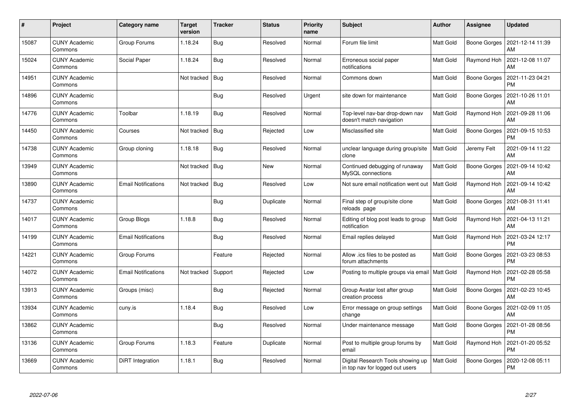| $\pmb{\#}$ | Project                         | Category name              | <b>Target</b><br>version | <b>Tracker</b> | <b>Status</b> | <b>Priority</b><br>name | <b>Subject</b>                                                       | Author           | <b>Assignee</b>     | <b>Updated</b>                |
|------------|---------------------------------|----------------------------|--------------------------|----------------|---------------|-------------------------|----------------------------------------------------------------------|------------------|---------------------|-------------------------------|
| 15087      | <b>CUNY Academic</b><br>Commons | Group Forums               | 1.18.24                  | Bug            | Resolved      | Normal                  | Forum file limit                                                     | Matt Gold        | <b>Boone Gorges</b> | 2021-12-14 11:39<br>AM        |
| 15024      | <b>CUNY Academic</b><br>Commons | Social Paper               | 1.18.24                  | Bug            | Resolved      | Normal                  | Erroneous social paper<br>notifications                              | Matt Gold        | Raymond Hoh         | 2021-12-08 11:07<br>AM        |
| 14951      | <b>CUNY Academic</b><br>Commons |                            | Not tracked              | Bug            | Resolved      | Normal                  | Commons down                                                         | Matt Gold        | Boone Gorges        | 2021-11-23 04:21<br><b>PM</b> |
| 14896      | <b>CUNY Academic</b><br>Commons |                            |                          | Bug            | Resolved      | Urgent                  | site down for maintenance                                            | Matt Gold        | Boone Gorges        | 2021-10-26 11:01<br>AM        |
| 14776      | <b>CUNY Academic</b><br>Commons | Toolbar                    | 1.18.19                  | Bug            | Resolved      | Normal                  | Top-level nav-bar drop-down nav<br>doesn't match navigation          | Matt Gold        | Raymond Hoh         | 2021-09-28 11:06<br>AM        |
| 14450      | <b>CUNY Academic</b><br>Commons | Courses                    | Not tracked              | Bug            | Rejected      | Low                     | Misclassified site                                                   | Matt Gold        | Boone Gorges        | 2021-09-15 10:53<br>PM        |
| 14738      | <b>CUNY Academic</b><br>Commons | Group cloning              | 1.18.18                  | Bug            | Resolved      | Normal                  | unclear language during group/site<br>clone                          | <b>Matt Gold</b> | Jeremy Felt         | 2021-09-14 11:22<br>AM        |
| 13949      | <b>CUNY Academic</b><br>Commons |                            | Not tracked              | Bug            | New           | Normal                  | Continued debugging of runaway<br>MySQL connections                  | Matt Gold        | Boone Gorges        | 2021-09-14 10:42<br>AM        |
| 13890      | <b>CUNY Academic</b><br>Commons | <b>Email Notifications</b> | Not tracked              | Bug            | Resolved      | Low                     | Not sure email notification went out                                 | Matt Gold        | Raymond Hoh         | 2021-09-14 10:42<br>AM        |
| 14737      | <b>CUNY Academic</b><br>Commons |                            |                          | Bug            | Duplicate     | Normal                  | Final step of group/site clone<br>reloads page                       | Matt Gold        | Boone Gorges        | 2021-08-31 11:41<br>AM        |
| 14017      | <b>CUNY Academic</b><br>Commons | Group Blogs                | 1.18.8                   | Bug            | Resolved      | Normal                  | Editing of blog post leads to group<br>notification                  | Matt Gold        | Raymond Hoh         | 2021-04-13 11:21<br><b>AM</b> |
| 14199      | <b>CUNY Academic</b><br>Commons | Email Notifications        |                          | Bug            | Resolved      | Normal                  | Email replies delayed                                                | Matt Gold        | Raymond Hoh         | 2021-03-24 12:17<br><b>PM</b> |
| 14221      | <b>CUNY Academic</b><br>Commons | Group Forums               |                          | Feature        | Rejected      | Normal                  | Allow .ics files to be posted as<br>forum attachments                | Matt Gold        | Boone Gorges        | 2021-03-23 08:53<br><b>PM</b> |
| 14072      | <b>CUNY Academic</b><br>Commons | <b>Email Notifications</b> | Not tracked              | Support        | Rejected      | Low                     | Posting to multiple groups via email                                 | Matt Gold        | Raymond Hoh         | 2021-02-28 05:58<br>PM        |
| 13913      | <b>CUNY Academic</b><br>Commons | Groups (misc)              |                          | Bug            | Rejected      | Normal                  | Group Avatar lost after group<br>creation process                    | Matt Gold        | Boone Gorges        | 2021-02-23 10:45<br>AM        |
| 13934      | <b>CUNY Academic</b><br>Commons | cuny.is                    | 1.18.4                   | Bug            | Resolved      | Low                     | Error message on group settings<br>change                            | Matt Gold        | Boone Gorges        | 2021-02-09 11:05<br>AM        |
| 13862      | <b>CUNY Academic</b><br>Commons |                            |                          | Bug            | Resolved      | Normal                  | Under maintenance message                                            | Matt Gold        | Boone Gorges        | 2021-01-28 08:56<br><b>PM</b> |
| 13136      | <b>CUNY Academic</b><br>Commons | Group Forums               | 1.18.3                   | Feature        | Duplicate     | Normal                  | Post to multiple group forums by<br>email                            | Matt Gold        | Raymond Hoh         | 2021-01-20 05:52<br><b>PM</b> |
| 13669      | <b>CUNY Academic</b><br>Commons | DiRT Integration           | 1.18.1                   | <b>Bug</b>     | Resolved      | Normal                  | Digital Research Tools showing up<br>in top nav for logged out users | Matt Gold        | Boone Gorges        | 2020-12-08 05:11<br>PM        |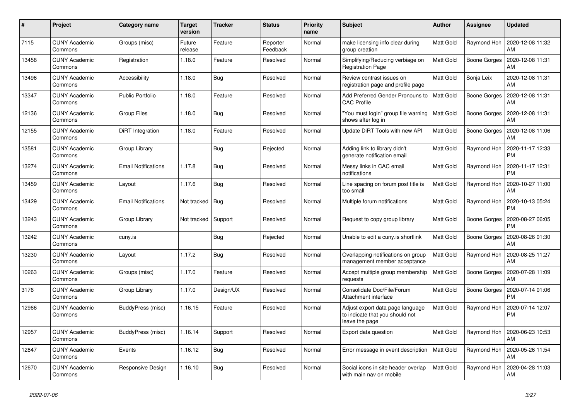| $\#$  | Project                         | <b>Category name</b>       | <b>Target</b><br>version | <b>Tracker</b> | <b>Status</b>        | <b>Priority</b><br>name | <b>Subject</b>                                                                        | <b>Author</b>    | <b>Assignee</b>     | <b>Updated</b>                |
|-------|---------------------------------|----------------------------|--------------------------|----------------|----------------------|-------------------------|---------------------------------------------------------------------------------------|------------------|---------------------|-------------------------------|
| 7115  | <b>CUNY Academic</b><br>Commons | Groups (misc)              | Future<br>release        | Feature        | Reporter<br>Feedback | Normal                  | make licensing info clear during<br>group creation                                    | Matt Gold        | Raymond Hoh         | 2020-12-08 11:32<br>AM        |
| 13458 | <b>CUNY Academic</b><br>Commons | Registration               | 1.18.0                   | Feature        | Resolved             | Normal                  | Simplifying/Reducing verbiage on<br><b>Registration Page</b>                          | Matt Gold        | Boone Gorges        | 2020-12-08 11:31<br>AM        |
| 13496 | <b>CUNY Academic</b><br>Commons | Accessibility              | 1.18.0                   | Bug            | Resolved             | Normal                  | Review contrast issues on<br>registration page and profile page                       | Matt Gold        | Sonja Leix          | 2020-12-08 11:31<br>AM        |
| 13347 | <b>CUNY Academic</b><br>Commons | Public Portfolio           | 1.18.0                   | Feature        | Resolved             | Normal                  | Add Preferred Gender Pronouns to<br><b>CAC Profile</b>                                | Matt Gold        | Boone Gorges        | 2020-12-08 11:31<br>AM        |
| 12136 | <b>CUNY Academic</b><br>Commons | <b>Group Files</b>         | 1.18.0                   | <b>Bug</b>     | Resolved             | Normal                  | "You must login" group file warning<br>shows after log in                             | Matt Gold        | Boone Gorges        | 2020-12-08 11:31<br>AM        |
| 12155 | <b>CUNY Academic</b><br>Commons | DiRT Integration           | 1.18.0                   | Feature        | Resolved             | Normal                  | Update DiRT Tools with new API                                                        | Matt Gold        | Boone Gorges        | 2020-12-08 11:06<br>AM        |
| 13581 | <b>CUNY Academic</b><br>Commons | Group Library              |                          | <b>Bug</b>     | Rejected             | Normal                  | Adding link to library didn't<br>generate notification email                          | Matt Gold        | Raymond Hoh         | 2020-11-17 12:33<br><b>PM</b> |
| 13274 | <b>CUNY Academic</b><br>Commons | <b>Email Notifications</b> | 1.17.8                   | Bug            | Resolved             | Normal                  | Messy links in CAC email<br>notifications                                             | Matt Gold        | Raymond Hoh         | 2020-11-17 12:31<br><b>PM</b> |
| 13459 | <b>CUNY Academic</b><br>Commons | Layout                     | 1.17.6                   | Bug            | Resolved             | Normal                  | Line spacing on forum post title is<br>too small                                      | Matt Gold        | Raymond Hoh         | 2020-10-27 11:00<br>AM        |
| 13429 | CUNY Academic<br>Commons        | <b>Email Notifications</b> | Not tracked   Bug        |                | Resolved             | Normal                  | Multiple forum notifications                                                          | Matt Gold        | Raymond Hoh         | 2020-10-13 05:24<br><b>PM</b> |
| 13243 | <b>CUNY Academic</b><br>Commons | Group Library              | Not tracked              | Support        | Resolved             | Normal                  | Request to copy group library                                                         | Matt Gold        | Boone Gorges        | 2020-08-27 06:05<br><b>PM</b> |
| 13242 | <b>CUNY Academic</b><br>Commons | cuny.is                    |                          | Bug            | Rejected             | Normal                  | Unable to edit a cuny.is shortlink                                                    | Matt Gold        | <b>Boone Gorges</b> | 2020-08-26 01:30<br>AM        |
| 13230 | <b>CUNY Academic</b><br>Commons | Layout                     | 1.17.2                   | <b>Bug</b>     | Resolved             | Normal                  | Overlapping notifications on group<br>management member acceptance                    | Matt Gold        | Raymond Hoh         | 2020-08-25 11:27<br>AM        |
| 10263 | <b>CUNY Academic</b><br>Commons | Groups (misc)              | 1.17.0                   | Feature        | Resolved             | Normal                  | Accept multiple group membership<br>requests                                          | Matt Gold        | Boone Gorges        | 2020-07-28 11:09<br>AM        |
| 3176  | <b>CUNY Academic</b><br>Commons | Group Library              | 1.17.0                   | Design/UX      | Resolved             | Normal                  | Consolidate Doc/File/Forum<br>Attachment interface                                    | Matt Gold        | Boone Gorges        | 2020-07-14 01:06<br><b>PM</b> |
| 12966 | <b>CUNY Academic</b><br>Commons | BuddyPress (misc)          | 1.16.15                  | Feature        | Resolved             | Normal                  | Adjust export data page language<br>to indicate that you should not<br>leave the page | Matt Gold        | Raymond Hoh         | 2020-07-14 12:07<br>PM        |
| 12957 | <b>CUNY Academic</b><br>Commons | BuddyPress (misc)          | 1.16.14                  | Support        | Resolved             | Normal                  | Export data question                                                                  | Matt Gold        | Raymond Hoh         | 2020-06-23 10:53<br>AM        |
| 12847 | <b>CUNY Academic</b><br>Commons | Events                     | 1.16.12                  | Bug            | Resolved             | Normal                  | Error message in event description                                                    | <b>Matt Gold</b> | Raymond Hoh         | 2020-05-26 11:54<br>AM        |
| 12670 | <b>CUNY Academic</b><br>Commons | Responsive Design          | 1.16.10                  | Bug            | Resolved             | Normal                  | Social icons in site header overlap<br>with main nav on mobile                        | Matt Gold        | Raymond Hoh         | 2020-04-28 11:03<br>AM        |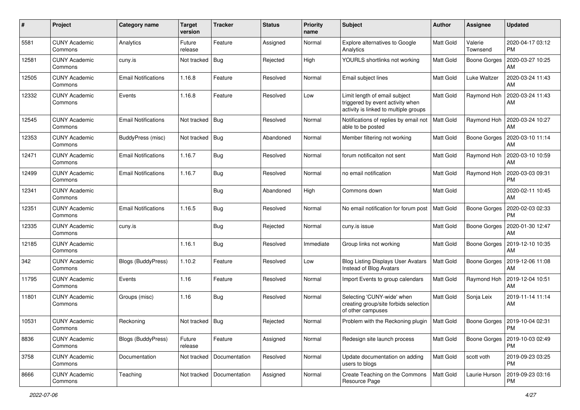| #     | Project                         | <b>Category name</b>       | <b>Target</b><br>version | <b>Tracker</b> | <b>Status</b> | <b>Priority</b><br>name | Subject                                                                                                    | <b>Author</b> | Assignee            | <b>Updated</b>                |
|-------|---------------------------------|----------------------------|--------------------------|----------------|---------------|-------------------------|------------------------------------------------------------------------------------------------------------|---------------|---------------------|-------------------------------|
| 5581  | <b>CUNY Academic</b><br>Commons | Analytics                  | Future<br>release        | Feature        | Assigned      | Normal                  | Explore alternatives to Google<br>Analytics                                                                | Matt Gold     | Valerie<br>Townsend | 2020-04-17 03:12<br><b>PM</b> |
| 12581 | <b>CUNY Academic</b><br>Commons | cuny.is                    | Not tracked              | Bug            | Rejected      | High                    | YOURLS shortlinks not working                                                                              | Matt Gold     | <b>Boone Gorges</b> | 2020-03-27 10:25<br>AM        |
| 12505 | <b>CUNY Academic</b><br>Commons | <b>Email Notifications</b> | 1.16.8                   | Feature        | Resolved      | Normal                  | Email subject lines                                                                                        | Matt Gold     | Luke Waltzer        | 2020-03-24 11:43<br>AM        |
| 12332 | <b>CUNY Academic</b><br>Commons | Events                     | 1.16.8                   | Feature        | Resolved      | Low                     | Limit length of email subject<br>triggered by event activity when<br>activity is linked to multiple groups | Matt Gold     | Raymond Hoh         | 2020-03-24 11:43<br>AM        |
| 12545 | <b>CUNY Academic</b><br>Commons | Email Notifications        | Not tracked              | Bug            | Resolved      | Normal                  | Notifications of replies by email not<br>able to be posted                                                 | Matt Gold     | Raymond Hoh         | 2020-03-24 10:27<br>AM        |
| 12353 | <b>CUNY Academic</b><br>Commons | BuddyPress (misc)          | Not tracked              | Bug            | Abandoned     | Normal                  | Member filtering not working                                                                               | Matt Gold     | Boone Gorges        | 2020-03-10 11:14<br>AM        |
| 12471 | <b>CUNY Academic</b><br>Commons | Email Notifications        | 1.16.7                   | <b>Bug</b>     | Resolved      | Normal                  | forum notificaiton not sent                                                                                | Matt Gold     | Raymond Hoh         | 2020-03-10 10:59<br>AM        |
| 12499 | <b>CUNY Academic</b><br>Commons | Email Notifications        | 1.16.7                   | <b>Bug</b>     | Resolved      | Normal                  | no email notification                                                                                      | Matt Gold     | Raymond Hoh         | 2020-03-03 09:31<br>PM        |
| 12341 | <b>CUNY Academic</b><br>Commons |                            |                          | <b>Bug</b>     | Abandoned     | High                    | Commons down                                                                                               | Matt Gold     |                     | 2020-02-11 10:45<br>AM        |
| 12351 | <b>CUNY Academic</b><br>Commons | <b>Email Notifications</b> | 1.16.5                   | <b>Bug</b>     | Resolved      | Normal                  | No email notification for forum post                                                                       | Matt Gold     | <b>Boone Gorges</b> | 2020-02-03 02:33<br><b>PM</b> |
| 12335 | CUNY Academic<br>Commons        | cuny.is                    |                          | <b>Bug</b>     | Rejected      | Normal                  | cuny.is issue                                                                                              | Matt Gold     | <b>Boone Gorges</b> | 2020-01-30 12:47<br>AM        |
| 12185 | <b>CUNY Academic</b><br>Commons |                            | 1.16.1                   | Bug            | Resolved      | Immediate               | Group links not working                                                                                    | Matt Gold     | <b>Boone Gorges</b> | 2019-12-10 10:35<br>AM        |
| 342   | <b>CUNY Academic</b><br>Commons | <b>Blogs (BuddyPress)</b>  | 1.10.2                   | Feature        | Resolved      | Low                     | <b>Blog Listing Displays User Avatars</b><br>Instead of Blog Avatars                                       | Matt Gold     | Boone Gorges        | 2019-12-06 11:08<br>AM        |
| 11795 | <b>CUNY Academic</b><br>Commons | Events                     | 1.16                     | Feature        | Resolved      | Normal                  | Import Events to group calendars                                                                           | Matt Gold     | Raymond Hoh         | 2019-12-04 10:51<br>AM        |
| 11801 | <b>CUNY Academic</b><br>Commons | Groups (misc)              | 1.16                     | <b>Bug</b>     | Resolved      | Normal                  | Selecting 'CUNY-wide' when<br>creating group/site forbids selection<br>of other campuses                   | Matt Gold     | Sonja Leix          | 2019-11-14 11:14<br>AM        |
| 10531 | <b>CUNY Academic</b><br>Commons | Reckoning                  | Not tracked              | Bug            | Rejected      | Normal                  | Problem with the Reckoning plugin                                                                          | Matt Gold     | Boone Gorges        | 2019-10-04 02:31<br>PM        |
| 8836  | <b>CUNY Academic</b><br>Commons | Blogs (BuddyPress)         | Future<br>release        | Feature        | Assigned      | Normal                  | Redesign site launch process                                                                               | Matt Gold     | <b>Boone Gorges</b> | 2019-10-03 02:49<br><b>PM</b> |
| 3758  | <b>CUNY Academic</b><br>Commons | Documentation              | Not tracked              | Documentation  | Resolved      | Normal                  | Update documentation on adding<br>users to blogs                                                           | Matt Gold     | scott voth          | 2019-09-23 03:25<br><b>PM</b> |
| 8666  | <b>CUNY Academic</b><br>Commons | Teaching                   | Not tracked              | Documentation  | Assigned      | Normal                  | Create Teaching on the Commons<br>Resource Page                                                            | Matt Gold     | Laurie Hurson       | 2019-09-23 03:16<br><b>PM</b> |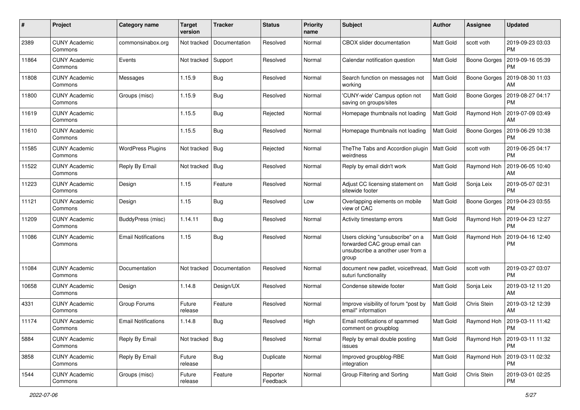| #     | Project                         | Category name              | <b>Target</b><br>version | <b>Tracker</b> | <b>Status</b>        | <b>Priority</b><br>name | Subject                                                                                                          | Author    | <b>Assignee</b>     | <b>Updated</b>                |
|-------|---------------------------------|----------------------------|--------------------------|----------------|----------------------|-------------------------|------------------------------------------------------------------------------------------------------------------|-----------|---------------------|-------------------------------|
| 2389  | <b>CUNY Academic</b><br>Commons | commonsinabox.org          | Not tracked              | Documentation  | Resolved             | Normal                  | <b>CBOX</b> slider documentation                                                                                 | Matt Gold | scott voth          | 2019-09-23 03:03<br><b>PM</b> |
| 11864 | <b>CUNY Academic</b><br>Commons | Events                     | Not tracked              | Support        | Resolved             | Normal                  | Calendar notification question                                                                                   | Matt Gold | <b>Boone Gorges</b> | 2019-09-16 05:39<br>PM        |
| 11808 | <b>CUNY Academic</b><br>Commons | Messages                   | 1.15.9                   | Bug            | Resolved             | Normal                  | Search function on messages not<br>working                                                                       | Matt Gold | Boone Gorges        | 2019-08-30 11:03<br>AM        |
| 11800 | <b>CUNY Academic</b><br>Commons | Groups (misc)              | 1.15.9                   | Bug            | Resolved             | Normal                  | 'CUNY-wide' Campus option not<br>saving on groups/sites                                                          | Matt Gold | Boone Gorges        | 2019-08-27 04:17<br><b>PM</b> |
| 11619 | <b>CUNY Academic</b><br>Commons |                            | 1.15.5                   | <b>Bug</b>     | Rejected             | Normal                  | Homepage thumbnails not loading                                                                                  | Matt Gold | Raymond Hoh         | 2019-07-09 03:49<br>AM        |
| 11610 | <b>CUNY Academic</b><br>Commons |                            | 1.15.5                   | Bug            | Resolved             | Normal                  | Homepage thumbnails not loading                                                                                  | Matt Gold | Boone Gorges        | 2019-06-29 10:38<br>PM        |
| 11585 | <b>CUNY Academic</b><br>Commons | <b>WordPress Plugins</b>   | Not tracked              | Bug            | Rejected             | Normal                  | The The Tabs and Accordion plugin   Matt Gold<br>weirdness                                                       |           | scott voth          | 2019-06-25 04:17<br><b>PM</b> |
| 11522 | <b>CUNY Academic</b><br>Commons | Reply By Email             | Not tracked              | Bug            | Resolved             | Normal                  | Reply by email didn't work                                                                                       | Matt Gold | Raymond Hoh         | 2019-06-05 10:40<br>AM        |
| 11223 | <b>CUNY Academic</b><br>Commons | Design                     | 1.15                     | Feature        | Resolved             | Normal                  | Adjust CC licensing statement on<br>sitewide footer                                                              | Matt Gold | Sonja Leix          | 2019-05-07 02:31<br><b>PM</b> |
| 11121 | <b>CUNY Academic</b><br>Commons | Design                     | 1.15                     | Bug            | Resolved             | Low                     | Overlapping elements on mobile<br>view of CAC                                                                    | Matt Gold | Boone Gorges        | 2019-04-23 03:55<br><b>PM</b> |
| 11209 | <b>CUNY Academic</b><br>Commons | BuddyPress (misc)          | 1.14.11                  | Bug            | Resolved             | Normal                  | Activity timestamp errors                                                                                        | Matt Gold | Raymond Hoh         | 2019-04-23 12:27<br><b>PM</b> |
| 11086 | <b>CUNY Academic</b><br>Commons | Email Notifications        | 1.15                     | Bug            | Resolved             | Normal                  | Users clicking "unsubscribe" on a<br>forwarded CAC group email can<br>unsubscribe a another user from a<br>group | Matt Gold | Raymond Hoh         | 2019-04-16 12:40<br><b>PM</b> |
| 11084 | <b>CUNY Academic</b><br>Commons | Documentation              | Not tracked              | Documentation  | Resolved             | Normal                  | document new padlet, voicethread,<br>suturi functionality                                                        | Matt Gold | scott voth          | 2019-03-27 03:07<br><b>PM</b> |
| 10658 | <b>CUNY Academic</b><br>Commons | Design                     | 1.14.8                   | Design/UX      | Resolved             | Normal                  | Condense sitewide footer                                                                                         | Matt Gold | Sonja Leix          | 2019-03-12 11:20<br>AM        |
| 4331  | <b>CUNY Academic</b><br>Commons | Group Forums               | Future<br>release        | Feature        | Resolved             | Normal                  | Improve visibility of forum "post by<br>email" information                                                       | Matt Gold | Chris Stein         | 2019-03-12 12:39<br>AM        |
| 11174 | <b>CUNY Academic</b><br>Commons | <b>Email Notifications</b> | 1.14.8                   | Bug            | Resolved             | High                    | Email notifications of spammed<br>comment on groupblog                                                           | Matt Gold | Raymond Hoh         | 2019-03-11 11:42<br>PM        |
| 5884  | <b>CUNY Academic</b><br>Commons | Reply By Email             | Not tracked   Bug        |                | Resolved             | Normal                  | Reply by email double posting<br>issues                                                                          | Matt Gold | Raymond Hoh         | 2019-03-11 11:32<br>PM        |
| 3858  | <b>CUNY Academic</b><br>Commons | Reply By Email             | Future<br>release        | Bug            | Duplicate            | Normal                  | Improved groupblog-RBE<br>integration                                                                            | Matt Gold | Raymond Hoh         | 2019-03-11 02:32<br><b>PM</b> |
| 1544  | <b>CUNY Academic</b><br>Commons | Groups (misc)              | Future<br>release        | Feature        | Reporter<br>Feedback | Normal                  | Group Filtering and Sorting                                                                                      | Matt Gold | Chris Stein         | 2019-03-01 02:25<br><b>PM</b> |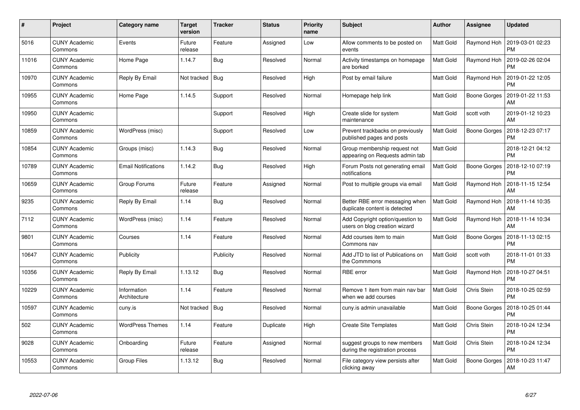| $\#$  | Project                         | Category name               | <b>Target</b><br>version | <b>Tracker</b> | <b>Status</b> | <b>Priority</b><br>name | <b>Subject</b>                                                    | Author    | Assignee     | <b>Updated</b>                |
|-------|---------------------------------|-----------------------------|--------------------------|----------------|---------------|-------------------------|-------------------------------------------------------------------|-----------|--------------|-------------------------------|
| 5016  | <b>CUNY Academic</b><br>Commons | Events                      | Future<br>release        | Feature        | Assigned      | Low                     | Allow comments to be posted on<br>events                          | Matt Gold | Raymond Hoh  | 2019-03-01 02:23<br>PM        |
| 11016 | <b>CUNY Academic</b><br>Commons | Home Page                   | 1.14.7                   | Bug            | Resolved      | Normal                  | Activity timestamps on homepage<br>are borked                     | Matt Gold | Raymond Hoh  | 2019-02-26 02:04<br><b>PM</b> |
| 10970 | <b>CUNY Academic</b><br>Commons | Reply By Email              | Not tracked              | <b>Bug</b>     | Resolved      | High                    | Post by email failure                                             | Matt Gold | Raymond Hoh  | 2019-01-22 12:05<br><b>PM</b> |
| 10955 | <b>CUNY Academic</b><br>Commons | Home Page                   | 1.14.5                   | Support        | Resolved      | Normal                  | Homepage help link                                                | Matt Gold | Boone Gorges | 2019-01-22 11:53<br>AM        |
| 10950 | <b>CUNY Academic</b><br>Commons |                             |                          | Support        | Resolved      | High                    | Create slide for system<br>maintenance                            | Matt Gold | scott voth   | 2019-01-12 10:23<br>AM        |
| 10859 | <b>CUNY Academic</b><br>Commons | WordPress (misc)            |                          | Support        | Resolved      | Low                     | Prevent trackbacks on previously<br>published pages and posts     | Matt Gold | Boone Gorges | 2018-12-23 07:17<br><b>PM</b> |
| 10854 | <b>CUNY Academic</b><br>Commons | Groups (misc)               | 1.14.3                   | Bug            | Resolved      | Normal                  | Group membership request not<br>appearing on Requests admin tab   | Matt Gold |              | 2018-12-21 04:12<br><b>PM</b> |
| 10789 | <b>CUNY Academic</b><br>Commons | <b>Email Notifications</b>  | 1.14.2                   | Bug            | Resolved      | High                    | Forum Posts not generating email<br>notifications                 | Matt Gold | Boone Gorges | 2018-12-10 07:19<br><b>PM</b> |
| 10659 | <b>CUNY Academic</b><br>Commons | Group Forums                | Future<br>release        | Feature        | Assigned      | Normal                  | Post to multiple groups via email                                 | Matt Gold | Raymond Hoh  | 2018-11-15 12:54<br>AM        |
| 9235  | <b>CUNY Academic</b><br>Commons | Reply By Email              | 1.14                     | Bug            | Resolved      | Normal                  | Better RBE error messaging when<br>duplicate content is detected  | Matt Gold | Raymond Hoh  | 2018-11-14 10:35<br>AM        |
| 7112  | <b>CUNY Academic</b><br>Commons | WordPress (misc)            | 1.14                     | Feature        | Resolved      | Normal                  | Add Copyright option/question to<br>users on blog creation wizard | Matt Gold | Raymond Hoh  | 2018-11-14 10:34<br>AM        |
| 9801  | <b>CUNY Academic</b><br>Commons | Courses                     | 1.14                     | Feature        | Resolved      | Normal                  | Add courses item to main<br>Commons nav                           | Matt Gold | Boone Gorges | 2018-11-13 02:15<br><b>PM</b> |
| 10647 | <b>CUNY Academic</b><br>Commons | Publicity                   |                          | Publicity      | Resolved      | Normal                  | Add JTD to list of Publications on<br>the Commmons                | Matt Gold | scott voth   | 2018-11-01 01:33<br><b>PM</b> |
| 10356 | <b>CUNY Academic</b><br>Commons | Reply By Email              | 1.13.12                  | Bug            | Resolved      | Normal                  | <b>RBE</b> error                                                  | Matt Gold | Raymond Hoh  | 2018-10-27 04:51<br><b>PM</b> |
| 10229 | <b>CUNY Academic</b><br>Commons | Information<br>Architecture | 1.14                     | Feature        | Resolved      | Normal                  | Remove 1 item from main nav bar<br>when we add courses            | Matt Gold | Chris Stein  | 2018-10-25 02:59<br><b>PM</b> |
| 10597 | <b>CUNY Academic</b><br>Commons | cuny.is                     | Not tracked              | Bug            | Resolved      | Normal                  | cuny is admin unavailable                                         | Matt Gold | Boone Gorges | 2018-10-25 01:44<br><b>PM</b> |
| 502   | <b>CUNY Academic</b><br>Commons | <b>WordPress Themes</b>     | 1.14                     | Feature        | Duplicate     | High                    | <b>Create Site Templates</b>                                      | Matt Gold | Chris Stein  | 2018-10-24 12:34<br><b>PM</b> |
| 9028  | <b>CUNY Academic</b><br>Commons | Onboarding                  | Future<br>release        | Feature        | Assigned      | Normal                  | suggest groups to new members<br>during the registration process  | Matt Gold | Chris Stein  | 2018-10-24 12:34<br><b>PM</b> |
| 10553 | <b>CUNY Academic</b><br>Commons | Group Files                 | 1.13.12                  | Bug            | Resolved      | Normal                  | File category view persists after<br>clicking away                | Matt Gold | Boone Gorges | 2018-10-23 11:47<br>AM        |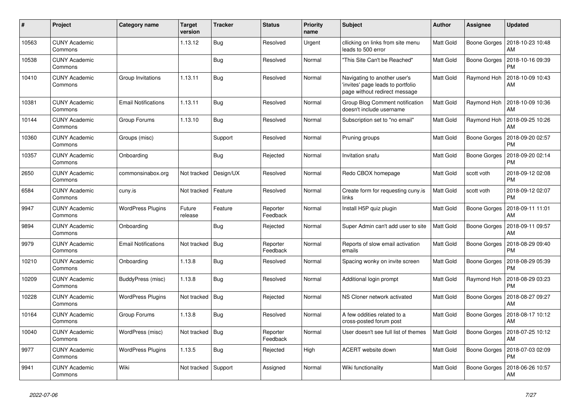| $\pmb{\#}$ | Project                         | Category name              | <b>Target</b><br>version | <b>Tracker</b> | <b>Status</b>        | Priority<br>name | <b>Subject</b>                                                                                     | <b>Author</b>    | Assignee            | <b>Updated</b>                |
|------------|---------------------------------|----------------------------|--------------------------|----------------|----------------------|------------------|----------------------------------------------------------------------------------------------------|------------------|---------------------|-------------------------------|
| 10563      | <b>CUNY Academic</b><br>Commons |                            | 1.13.12                  | Bug            | Resolved             | Urgent           | cllicking on links from site menu<br>leads to 500 error                                            | <b>Matt Gold</b> | Boone Gorges        | 2018-10-23 10:48<br>AM        |
| 10538      | <b>CUNY Academic</b><br>Commons |                            |                          | <b>Bug</b>     | Resolved             | Normal           | 'This Site Can't be Reached"                                                                       | Matt Gold        | <b>Boone Gorges</b> | 2018-10-16 09:39<br>РM        |
| 10410      | <b>CUNY Academic</b><br>Commons | Group Invitations          | 1.13.11                  | Bug            | Resolved             | Normal           | Navigating to another user's<br>'invites' page leads to portfolio<br>page without redirect message | Matt Gold        | Raymond Hoh         | 2018-10-09 10:43<br>AM        |
| 10381      | <b>CUNY Academic</b><br>Commons | <b>Email Notifications</b> | 1.13.11                  | <b>Bug</b>     | Resolved             | Normal           | Group Blog Comment notification<br>doesn't include username                                        | <b>Matt Gold</b> | Raymond Hoh         | 2018-10-09 10:36<br>AM        |
| 10144      | <b>CUNY Academic</b><br>Commons | Group Forums               | 1.13.10                  | Bug            | Resolved             | Normal           | Subscription set to "no email"                                                                     | Matt Gold        | Raymond Hoh         | 2018-09-25 10:26<br>AM        |
| 10360      | <b>CUNY Academic</b><br>Commons | Groups (misc)              |                          | Support        | Resolved             | Normal           | Pruning groups                                                                                     | Matt Gold        | Boone Gorges        | 2018-09-20 02:57<br><b>PM</b> |
| 10357      | <b>CUNY Academic</b><br>Commons | Onboarding                 |                          | Bug            | Rejected             | Normal           | Invitation snafu                                                                                   | <b>Matt Gold</b> | Boone Gorges        | 2018-09-20 02:14<br><b>PM</b> |
| 2650       | CUNY Academic<br>Commons        | commonsinabox.org          | Not tracked              | Design/UX      | Resolved             | Normal           | Redo CBOX homepage                                                                                 | <b>Matt Gold</b> | scott voth          | 2018-09-12 02:08<br>PM        |
| 6584       | <b>CUNY Academic</b><br>Commons | cuny.is                    | Not tracked              | Feature        | Resolved             | Normal           | Create form for requesting cuny.is<br>links                                                        | <b>Matt Gold</b> | scott voth          | 2018-09-12 02:07<br><b>PM</b> |
| 9947       | <b>CUNY Academic</b><br>Commons | <b>WordPress Plugins</b>   | Future<br>release        | Feature        | Reporter<br>Feedback | Normal           | Install H5P quiz plugin                                                                            | Matt Gold        | <b>Boone Gorges</b> | 2018-09-11 11:01<br>AM        |
| 9894       | <b>CUNY Academic</b><br>Commons | Onboarding                 |                          | <b>Bug</b>     | Rejected             | Normal           | Super Admin can't add user to site                                                                 | <b>Matt Gold</b> | Boone Gorges        | 2018-09-11 09:57<br>AM        |
| 9979       | <b>CUNY Academic</b><br>Commons | <b>Email Notifications</b> | Not tracked              | Bug            | Reporter<br>Feedback | Normal           | Reports of slow email activation<br>emails                                                         | <b>Matt Gold</b> | Boone Gorges        | 2018-08-29 09:40<br>PM        |
| 10210      | <b>CUNY Academic</b><br>Commons | Onboarding                 | 1.13.8                   | Bug            | Resolved             | Normal           | Spacing wonky on invite screen                                                                     | <b>Matt Gold</b> | Boone Gorges        | 2018-08-29 05:39<br>PM        |
| 10209      | <b>CUNY Academic</b><br>Commons | BuddyPress (misc)          | 1.13.8                   | Bug            | Resolved             | Normal           | Additional login prompt                                                                            | Matt Gold        | Raymond Hoh         | 2018-08-29 03:23<br><b>PM</b> |
| 10228      | <b>CUNY Academic</b><br>Commons | <b>WordPress Plugins</b>   | Not tracked              | Bug            | Rejected             | Normal           | NS Cloner network activated                                                                        | <b>Matt Gold</b> | Boone Gorges        | 2018-08-27 09:27<br>AM        |
| 10164      | <b>CUNY Academic</b><br>Commons | Group Forums               | 1.13.8                   | Bug            | Resolved             | Normal           | A few oddities related to a<br>cross-posted forum post                                             | <b>Matt Gold</b> | Boone Gorges        | 2018-08-17 10:12<br>AM        |
| 10040      | <b>CUNY Academic</b><br>Commons | WordPress (misc)           | Not tracked              | Bug            | Reporter<br>Feedback | Normal           | User doesn't see full list of themes                                                               | <b>Matt Gold</b> | Boone Gorges        | 2018-07-25 10:12<br>AM        |
| 9977       | <b>CUNY Academic</b><br>Commons | <b>WordPress Plugins</b>   | 1.13.5                   | <b>Bug</b>     | Rejected             | High             | ACERT website down                                                                                 | <b>Matt Gold</b> | Boone Gorges        | 2018-07-03 02:09<br><b>PM</b> |
| 9941       | <b>CUNY Academic</b><br>Commons | Wiki                       | Not tracked              | Support        | Assigned             | Normal           | Wiki functionality                                                                                 | Matt Gold        | Boone Gorges        | 2018-06-26 10:57<br>AM        |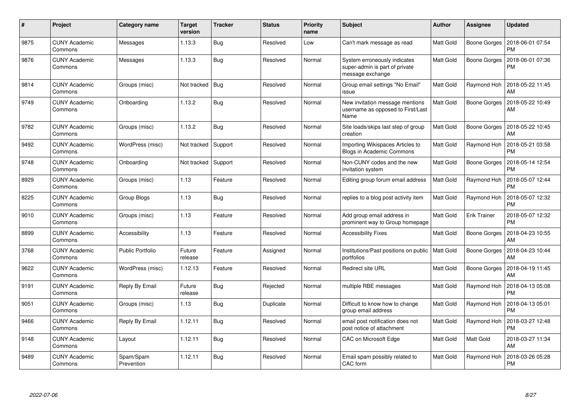| $\#$ | Project                         | Category name           | <b>Target</b><br>version | <b>Tracker</b> | <b>Status</b> | <b>Priority</b><br>name | <b>Subject</b>                                                                     | <b>Author</b>    | Assignee            | <b>Updated</b>                |
|------|---------------------------------|-------------------------|--------------------------|----------------|---------------|-------------------------|------------------------------------------------------------------------------------|------------------|---------------------|-------------------------------|
| 9875 | <b>CUNY Academic</b><br>Commons | Messages                | 1.13.3                   | <b>Bug</b>     | Resolved      | Low                     | Can't mark message as read                                                         | Matt Gold        | Boone Gorges        | 2018-06-01 07:54<br><b>PM</b> |
| 9876 | <b>CUNY Academic</b><br>Commons | Messages                | 1.13.3                   | Bug            | Resolved      | Normal                  | System erroneously indicates<br>super-admin is part of private<br>message exchange | <b>Matt Gold</b> | Boone Gorges        | 2018-06-01 07:36<br><b>PM</b> |
| 9814 | <b>CUNY Academic</b><br>Commons | Groups (misc)           | Not tracked              | Bug            | Resolved      | Normal                  | Group email settings "No Email"<br>issue                                           | <b>Matt Gold</b> | Raymond Hoh         | 2018-05-22 11:45<br>AM        |
| 9749 | <b>CUNY Academic</b><br>Commons | Onboarding              | 1.13.2                   | <b>Bug</b>     | Resolved      | Normal                  | New invitation message mentions<br>username as opposed to First/Last<br>Name       | <b>Matt Gold</b> | Boone Gorges        | 2018-05-22 10:49<br>AM        |
| 9782 | <b>CUNY Academic</b><br>Commons | Groups (misc)           | 1.13.2                   | Bug            | Resolved      | Normal                  | Site loads/skips last step of group<br>creation                                    | <b>Matt Gold</b> | Boone Gorges        | 2018-05-22 10:45<br>AM        |
| 9492 | <b>CUNY Academic</b><br>Commons | WordPress (misc)        | Not tracked              | Support        | Resolved      | Normal                  | Importing Wikispaces Articles to<br><b>Blogs in Academic Commons</b>               | <b>Matt Gold</b> | Raymond Hoh         | 2018-05-21 03:58<br><b>PM</b> |
| 9748 | <b>CUNY Academic</b><br>Commons | Onboarding              | Not tracked              | Support        | Resolved      | Normal                  | Non-CUNY codes and the new<br>invitation system                                    | Matt Gold        | Boone Gorges        | 2018-05-14 12:54<br>PM        |
| 8929 | <b>CUNY Academic</b><br>Commons | Groups (misc)           | 1.13                     | Feature        | Resolved      | Normal                  | Editing group forum email address                                                  | <b>Matt Gold</b> | Raymond Hoh         | 2018-05-07 12:44<br><b>PM</b> |
| 8225 | <b>CUNY Academic</b><br>Commons | Group Blogs             | 1.13                     | Bug            | Resolved      | Normal                  | replies to a blog post activity item                                               | <b>Matt Gold</b> | Raymond Hoh         | 2018-05-07 12:32<br><b>PM</b> |
| 9010 | <b>CUNY Academic</b><br>Commons | Groups (misc)           | 1.13                     | Feature        | Resolved      | Normal                  | Add group email address in<br>prominent way to Group homepage                      | <b>Matt Gold</b> | <b>Erik Trainer</b> | 2018-05-07 12:32<br><b>PM</b> |
| 8899 | <b>CUNY Academic</b><br>Commons | Accessibility           | 1.13                     | Feature        | Resolved      | Normal                  | <b>Accessibility Fixes</b>                                                         | Matt Gold        | Boone Gorges        | 2018-04-23 10:55<br>AM        |
| 3768 | <b>CUNY Academic</b><br>Commons | Public Portfolio        | Future<br>release        | Feature        | Assigned      | Normal                  | Institutions/Past positions on public<br>portfolios                                | Matt Gold        | Boone Gorges        | 2018-04-23 10:44<br>AM        |
| 9622 | <b>CUNY Academic</b><br>Commons | WordPress (misc)        | 1.12.13                  | Feature        | Resolved      | Normal                  | <b>Redirect site URL</b>                                                           | Matt Gold        | <b>Boone Gorges</b> | 2018-04-19 11:45<br>AM        |
| 9191 | <b>CUNY Academic</b><br>Commons | Reply By Email          | Future<br>release        | Bug            | Rejected      | Normal                  | multiple RBE messages                                                              | <b>Matt Gold</b> | Raymond Hoh         | 2018-04-13 05:08<br><b>PM</b> |
| 9051 | <b>CUNY Academic</b><br>Commons | Groups (misc)           | 1.13                     | Bug            | Duplicate     | Normal                  | Difficult to know how to change<br>group email address                             | <b>Matt Gold</b> | Raymond Hoh         | 2018-04-13 05:01<br><b>PM</b> |
| 9466 | <b>CUNY Academic</b><br>Commons | Reply By Email          | 1.12.11                  | Bug            | Resolved      | Normal                  | email post notification does not<br>post notice of attachment                      | Matt Gold        | Raymond Hoh         | 2018-03-27 12:48<br><b>PM</b> |
| 9148 | <b>CUNY Academic</b><br>Commons | Layout                  | 1.12.11                  | <b>Bug</b>     | Resolved      | Normal                  | CAC on Microsoft Edge                                                              | Matt Gold        | Matt Gold           | 2018-03-27 11:34<br>AM        |
| 9489 | <b>CUNY Academic</b><br>Commons | Spam/Spam<br>Prevention | 1.12.11                  | Bug            | Resolved      | Normal                  | Email spam possibly related to<br>CAC form                                         | Matt Gold        | Raymond Hoh         | 2018-03-26 05:28<br>PM        |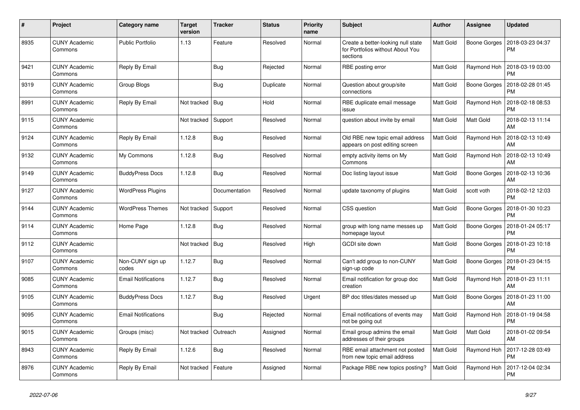| $\#$ | Project                         | Category name              | <b>Target</b><br>version | <b>Tracker</b> | <b>Status</b> | <b>Priority</b><br>name | <b>Subject</b>                                                                     | <b>Author</b>    | <b>Assignee</b> | <b>Updated</b>                |
|------|---------------------------------|----------------------------|--------------------------|----------------|---------------|-------------------------|------------------------------------------------------------------------------------|------------------|-----------------|-------------------------------|
| 8935 | <b>CUNY Academic</b><br>Commons | <b>Public Portfolio</b>    | 1.13                     | Feature        | Resolved      | Normal                  | Create a better-looking null state<br>for Portfolios without About You<br>sections | Matt Gold        | Boone Gorges    | 2018-03-23 04:37<br>PM        |
| 9421 | <b>CUNY Academic</b><br>Commons | <b>Reply By Email</b>      |                          | <b>Bug</b>     | Rejected      | Normal                  | RBE posting error                                                                  | Matt Gold        | Raymond Hoh     | 2018-03-19 03:00<br><b>PM</b> |
| 9319 | <b>CUNY Academic</b><br>Commons | Group Blogs                |                          | Bug            | Duplicate     | Normal                  | Question about group/site<br>connections                                           | Matt Gold        | Boone Gorges    | 2018-02-28 01:45<br>PM        |
| 8991 | <b>CUNY Academic</b><br>Commons | Reply By Email             | Not tracked              | <b>Bug</b>     | Hold          | Normal                  | RBE duplicate email message<br>issue                                               | Matt Gold        | Raymond Hoh     | 2018-02-18 08:53<br>PM        |
| 9115 | <b>CUNY Academic</b><br>Commons |                            | Not tracked              | Support        | Resolved      | Normal                  | question about invite by email                                                     | Matt Gold        | Matt Gold       | 2018-02-13 11:14<br>AM        |
| 9124 | <b>CUNY Academic</b><br>Commons | Reply By Email             | 1.12.8                   | <b>Bug</b>     | Resolved      | Normal                  | Old RBE new topic email address<br>appears on post editing screen                  | <b>Matt Gold</b> | Raymond Hoh     | 2018-02-13 10:49<br>AM        |
| 9132 | <b>CUNY Academic</b><br>Commons | My Commons                 | 1.12.8                   | <b>Bug</b>     | Resolved      | Normal                  | empty activity items on My<br>Commons                                              | Matt Gold        | Raymond Hoh     | 2018-02-13 10:49<br>AM        |
| 9149 | <b>CUNY Academic</b><br>Commons | <b>BuddyPress Docs</b>     | 1.12.8                   | <b>Bug</b>     | Resolved      | Normal                  | Doc listing layout issue                                                           | Matt Gold        | Boone Gorges    | 2018-02-13 10:36<br>AM        |
| 9127 | <b>CUNY Academic</b><br>Commons | <b>WordPress Plugins</b>   |                          | Documentation  | Resolved      | Normal                  | update taxonomy of plugins                                                         | Matt Gold        | scott voth      | 2018-02-12 12:03<br><b>PM</b> |
| 9144 | <b>CUNY Academic</b><br>Commons | <b>WordPress Themes</b>    | Not tracked              | Support        | Resolved      | Normal                  | CSS question                                                                       | Matt Gold        | Boone Gorges    | 2018-01-30 10:23<br>PM        |
| 9114 | <b>CUNY Academic</b><br>Commons | Home Page                  | 1.12.8                   | Bug            | Resolved      | Normal                  | group with long name messes up<br>homepage layout                                  | Matt Gold        | Boone Gorges    | 2018-01-24 05:17<br><b>PM</b> |
| 9112 | <b>CUNY Academic</b><br>Commons |                            | Not tracked              | Bug            | Resolved      | High                    | <b>GCDI</b> site down                                                              | Matt Gold        | Boone Gorges    | 2018-01-23 10:18<br>PM        |
| 9107 | <b>CUNY Academic</b><br>Commons | Non-CUNY sign up<br>codes  | 1.12.7                   | Bug            | Resolved      | Normal                  | Can't add group to non-CUNY<br>sign-up code                                        | Matt Gold        | Boone Gorges    | 2018-01-23 04:15<br>PM        |
| 9085 | <b>CUNY Academic</b><br>Commons | <b>Email Notifications</b> | 1.12.7                   | <b>Bug</b>     | Resolved      | Normal                  | Email notification for group doc<br>creation                                       | Matt Gold        | Raymond Hoh     | 2018-01-23 11:11<br>AM        |
| 9105 | <b>CUNY Academic</b><br>Commons | <b>BuddyPress Docs</b>     | 1.12.7                   | <b>Bug</b>     | Resolved      | Urgent                  | BP doc titles/dates messed up                                                      | Matt Gold        | Boone Gorges    | 2018-01-23 11:00<br>AM        |
| 9095 | <b>CUNY Academic</b><br>Commons | <b>Email Notifications</b> |                          | <b>Bug</b>     | Rejected      | Normal                  | Email notifications of events may<br>not be going out                              | Matt Gold        | Raymond Hoh     | 2018-01-19 04:58<br>PM        |
| 9015 | <b>CUNY Academic</b><br>Commons | Groups (misc)              | Not tracked              | Outreach       | Assigned      | Normal                  | Email group admins the email<br>addresses of their groups                          | Matt Gold        | Matt Gold       | 2018-01-02 09:54<br><b>AM</b> |
| 8943 | <b>CUNY Academic</b><br>Commons | Reply By Email             | 1.12.6                   | Bug            | Resolved      | Normal                  | RBE email attachment not posted<br>from new topic email address                    | <b>Matt Gold</b> | Raymond Hoh     | 2017-12-28 03:49<br><b>PM</b> |
| 8976 | <b>CUNY Academic</b><br>Commons | Reply By Email             | Not tracked              | Feature        | Assigned      | Normal                  | Package RBE new topics posting?                                                    | Matt Gold        | Raymond Hoh     | 2017-12-04 02:34<br>PM        |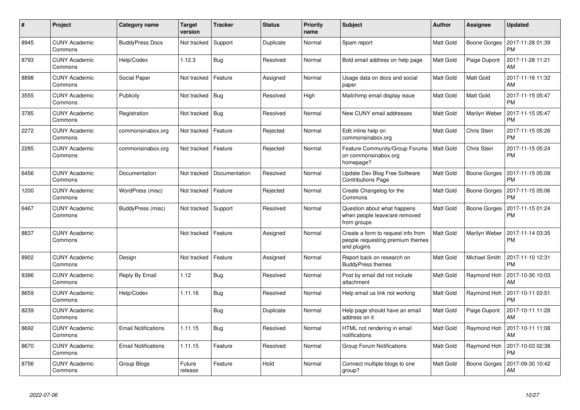| $\pmb{\#}$ | Project                         | Category name              | <b>Target</b><br>version | <b>Tracker</b> | <b>Status</b> | <b>Priority</b><br>name | <b>Subject</b>                                                                        | <b>Author</b>    | Assignee      | <b>Updated</b>                |
|------------|---------------------------------|----------------------------|--------------------------|----------------|---------------|-------------------------|---------------------------------------------------------------------------------------|------------------|---------------|-------------------------------|
| 8945       | <b>CUNY Academic</b><br>Commons | <b>BuddyPress Docs</b>     | Not tracked              | Support        | Duplicate     | Normal                  | Spam report                                                                           | Matt Gold        | Boone Gorges  | 2017-11-28 01:39<br>PM        |
| 8793       | CUNY Academic<br>Commons        | Help/Codex                 | 1.12.3                   | <b>Bug</b>     | Resolved      | Normal                  | Bold email address on help page                                                       | Matt Gold        | Paige Dupont  | 2017-11-28 11:21<br>AM        |
| 8898       | CUNY Academic<br>Commons        | Social Paper               | Not tracked              | Feature        | Assigned      | Normal                  | Usage data on docs and social<br>paper                                                | Matt Gold        | Matt Gold     | 2017-11-16 11:32<br>AM        |
| 3555       | <b>CUNY Academic</b><br>Commons | Publicity                  | Not tracked   Bug        |                | Resolved      | High                    | Mailchimp email display issue                                                         | Matt Gold        | Matt Gold     | 2017-11-15 05:47<br>PM        |
| 3785       | <b>CUNY Academic</b><br>Commons | Registration               | Not tracked              | Bug            | Resolved      | Normal                  | New CUNY email addresses                                                              | Matt Gold        | Marilyn Weber | 2017-11-15 05:47<br>PM        |
| 2272       | <b>CUNY Academic</b><br>Commons | commonsinabox.org          | Not tracked              | Feature        | Rejected      | Normal                  | Edit inline help on<br>commonsinabox.org                                              | Matt Gold        | Chris Stein   | 2017-11-15 05:26<br><b>PM</b> |
| 2285       | <b>CUNY Academic</b><br>Commons | commonsinabox.org          | Not tracked              | Feature        | Rejected      | Normal                  | Feature Community/Group Forums<br>on commonsinabox.org<br>homepage?                   | <b>Matt Gold</b> | Chris Stein   | 2017-11-15 05:24<br>PM        |
| 6456       | CUNY Academic<br>Commons        | Documentation              | Not tracked              | Documentation  | Resolved      | Normal                  | Update Dev Blog Free Software<br><b>Contributions Page</b>                            | <b>Matt Gold</b> | Boone Gorges  | 2017-11-15 05:09<br><b>PM</b> |
| 1200       | CUNY Academic<br>Commons        | WordPress (misc)           | Not tracked              | Feature        | Rejected      | Normal                  | Create Changelog for the<br>Commons                                                   | Matt Gold        | Boone Gorges  | 2017-11-15 05:06<br>PM        |
| 6467       | <b>CUNY Academic</b><br>Commons | BuddyPress (misc)          | Not tracked              | Support        | Resolved      | Normal                  | Question about what happens<br>when people leave/are removed<br>from groups           | Matt Gold        | Boone Gorges  | 2017-11-15 01:24<br>РM        |
| 8837       | <b>CUNY Academic</b><br>Commons |                            | Not tracked              | Feature        | Assigned      | Normal                  | Create a form to request info from<br>people requesting premium themes<br>and plugins | Matt Gold        | Marilyn Weber | 2017-11-14 03:35<br>PM        |
| 8902       | <b>CUNY Academic</b><br>Commons | Design                     | Not tracked              | Feature        | Assigned      | Normal                  | Report back on research on<br><b>BuddyPress themes</b>                                | <b>Matt Gold</b> | Michael Smith | 2017-11-10 12:31<br><b>PM</b> |
| 8386       | <b>CUNY Academic</b><br>Commons | Reply By Email             | 1.12                     | Bug            | Resolved      | Normal                  | Post by email did not include<br>attachment                                           | Matt Gold        | Raymond Hoh   | 2017-10-30 10:03<br>AM        |
| 8659       | <b>CUNY Academic</b><br>Commons | Help/Codex                 | 1.11.16                  | Bug            | Resolved      | Normal                  | Help email us link not working                                                        | <b>Matt Gold</b> | Raymond Hoh   | 2017-10-11 03:51<br><b>PM</b> |
| 8239       | <b>CUNY Academic</b><br>Commons |                            |                          | Bug            | Duplicate     | Normal                  | Help page should have an email<br>address on it                                       | Matt Gold        | Paige Dupont  | 2017-10-11 11:28<br>AM        |
| 8692       | <b>CUNY Academic</b><br>Commons | <b>Email Notifications</b> | 1.11.15                  | <b>Bug</b>     | Resolved      | Normal                  | HTML not rendering in email<br>notifications                                          | <b>Matt Gold</b> | Raymond Hoh   | 2017-10-11 11:08<br>AM        |
| 8670       | <b>CUNY Academic</b><br>Commons | <b>Email Notifications</b> | 1.11.15                  | Feature        | Resolved      | Normal                  | <b>Group Forum Notifications</b>                                                      | <b>Matt Gold</b> | Raymond Hoh   | 2017-10-03 02:38<br>PM        |
| 8756       | CUNY Academic<br>Commons        | Group Blogs                | Future<br>release        | Feature        | Hold          | Normal                  | Connect multiple blogs to one<br>group?                                               | <b>Matt Gold</b> | Boone Gorges  | 2017-09-30 10:42<br>AM        |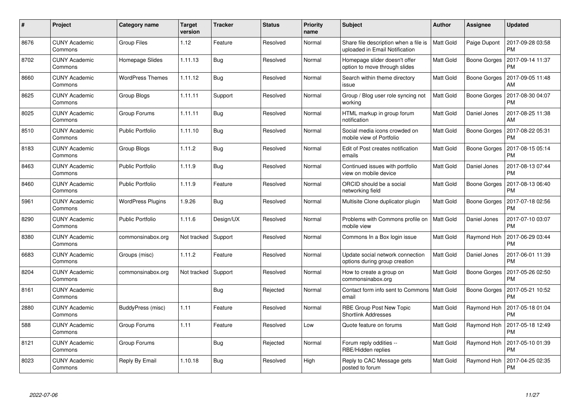| $\#$ | Project                         | Category name            | <b>Target</b><br>version | <b>Tracker</b> | <b>Status</b> | <b>Priority</b><br>name | <b>Subject</b>                                                          | <b>Author</b>    | <b>Assignee</b>     | <b>Updated</b>                |
|------|---------------------------------|--------------------------|--------------------------|----------------|---------------|-------------------------|-------------------------------------------------------------------------|------------------|---------------------|-------------------------------|
| 8676 | <b>CUNY Academic</b><br>Commons | <b>Group Files</b>       | 1.12                     | Feature        | Resolved      | Normal                  | Share file description when a file is<br>uploaded in Email Notification | <b>Matt Gold</b> | Paige Dupont        | 2017-09-28 03:58<br><b>PM</b> |
| 8702 | CUNY Academic<br>Commons        | Homepage Slides          | 1.11.13                  | <b>Bug</b>     | Resolved      | Normal                  | Homepage slider doesn't offer<br>option to move through slides          | Matt Gold        | Boone Gorges        | 2017-09-14 11:37<br><b>PM</b> |
| 8660 | <b>CUNY Academic</b><br>Commons | <b>WordPress Themes</b>  | 1.11.12                  | Bug            | Resolved      | Normal                  | Search within theme directory<br>issue                                  | Matt Gold        | <b>Boone Gorges</b> | 2017-09-05 11:48<br>AM        |
| 8625 | <b>CUNY Academic</b><br>Commons | Group Blogs              | 1.11.11                  | Support        | Resolved      | Normal                  | Group / Blog user role syncing not<br>working                           | Matt Gold        | Boone Gorges        | 2017-08-30 04:07<br><b>PM</b> |
| 8025 | <b>CUNY Academic</b><br>Commons | Group Forums             | 1.11.11                  | Bug            | Resolved      | Normal                  | HTML markup in group forum<br>notification                              | Matt Gold        | Daniel Jones        | 2017-08-25 11:38<br>AM        |
| 8510 | <b>CUNY Academic</b><br>Commons | <b>Public Portfolio</b>  | 1.11.10                  | <b>Bug</b>     | Resolved      | Normal                  | Social media icons crowded on<br>mobile view of Portfolio               | Matt Gold        | Boone Gorges        | 2017-08-22 05:31<br><b>PM</b> |
| 8183 | <b>CUNY Academic</b><br>Commons | Group Blogs              | 1.11.2                   | Bug            | Resolved      | Normal                  | Edit of Post creates notification<br>emails                             | Matt Gold        | <b>Boone Gorges</b> | 2017-08-15 05:14<br><b>PM</b> |
| 8463 | <b>CUNY Academic</b><br>Commons | Public Portfolio         | 1.11.9                   | Bug            | Resolved      | Normal                  | Continued issues with portfolio<br>view on mobile device                | Matt Gold        | Daniel Jones        | 2017-08-13 07:44<br><b>PM</b> |
| 8460 | <b>CUNY Academic</b><br>Commons | <b>Public Portfolio</b>  | 1.11.9                   | Feature        | Resolved      | Normal                  | ORCID should be a social<br>networking field                            | Matt Gold        | Boone Gorges        | 2017-08-13 06:40<br><b>PM</b> |
| 5961 | <b>CUNY Academic</b><br>Commons | <b>WordPress Plugins</b> | 1.9.26                   | Bug            | Resolved      | Normal                  | Multisite Clone duplicator plugin                                       | Matt Gold        | Boone Gorges        | 2017-07-18 02:56<br><b>PM</b> |
| 8290 | <b>CUNY Academic</b><br>Commons | <b>Public Portfolio</b>  | 1.11.6                   | Design/UX      | Resolved      | Normal                  | Problems with Commons profile on<br>mobile view                         | Matt Gold        | Daniel Jones        | 2017-07-10 03:07<br><b>PM</b> |
| 8380 | <b>CUNY Academic</b><br>Commons | commonsinabox.org        | Not tracked              | Support        | Resolved      | Normal                  | Commons In a Box login issue                                            | Matt Gold        | Raymond Hoh         | 2017-06-29 03:44<br><b>PM</b> |
| 6683 | <b>CUNY Academic</b><br>Commons | Groups (misc)            | 1.11.2                   | Feature        | Resolved      | Normal                  | Update social network connection<br>options during group creation       | Matt Gold        | Daniel Jones        | 2017-06-01 11:39<br><b>PM</b> |
| 8204 | <b>CUNY Academic</b><br>Commons | commonsinabox.org        | Not tracked              | Support        | Resolved      | Normal                  | How to create a group on<br>commonsinabox.org                           | Matt Gold        | <b>Boone Gorges</b> | 2017-05-26 02:50<br><b>PM</b> |
| 8161 | <b>CUNY Academic</b><br>Commons |                          |                          | <b>Bug</b>     | Rejected      | Normal                  | Contact form info sent to Commons<br>email                              | <b>Matt Gold</b> | <b>Boone Gorges</b> | 2017-05-21 10:52<br><b>PM</b> |
| 2880 | <b>CUNY Academic</b><br>Commons | BuddyPress (misc)        | 1.11                     | Feature        | Resolved      | Normal                  | RBE Group Post New Topic<br><b>Shortlink Addresses</b>                  | Matt Gold        | Raymond Hoh         | 2017-05-18 01:04<br><b>PM</b> |
| 588  | <b>CUNY Academic</b><br>Commons | Group Forums             | 1.11                     | Feature        | Resolved      | Low                     | Quote feature on forums                                                 | Matt Gold        | Raymond Hoh         | 2017-05-18 12:49<br><b>PM</b> |
| 8121 | <b>CUNY Academic</b><br>Commons | Group Forums             |                          | Bug            | Rejected      | Normal                  | Forum reply oddities --<br>RBE/Hidden replies                           | Matt Gold        | Raymond Hoh         | 2017-05-10 01:39<br><b>PM</b> |
| 8023 | <b>CUNY Academic</b><br>Commons | Reply By Email           | 1.10.18                  | <b>Bug</b>     | Resolved      | High                    | Reply to CAC Message gets<br>posted to forum                            | Matt Gold        | Raymond Hoh         | 2017-04-25 02:35<br>PM        |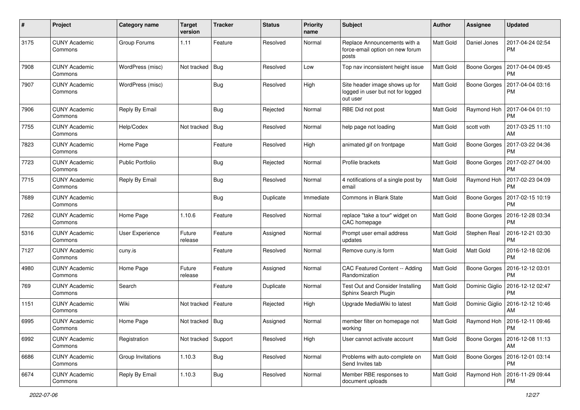| #    | Project                         | Category name           | <b>Target</b><br>version | <b>Tracker</b> | <b>Status</b> | <b>Priority</b><br>name | <b>Subject</b>                                                                  | Author           | <b>Assignee</b>     | <b>Updated</b>                |
|------|---------------------------------|-------------------------|--------------------------|----------------|---------------|-------------------------|---------------------------------------------------------------------------------|------------------|---------------------|-------------------------------|
| 3175 | <b>CUNY Academic</b><br>Commons | Group Forums            | 1.11                     | Feature        | Resolved      | Normal                  | Replace Announcements with a<br>force-email option on new forum<br>posts        | <b>Matt Gold</b> | Daniel Jones        | 2017-04-24 02:54<br><b>PM</b> |
| 7908 | <b>CUNY Academic</b><br>Commons | WordPress (misc)        | Not tracked              | Bug            | Resolved      | Low                     | Top nav inconsistent height issue                                               | <b>Matt Gold</b> | Boone Gorges        | 2017-04-04 09:45<br>РM        |
| 7907 | <b>CUNY Academic</b><br>Commons | WordPress (misc)        |                          | <b>Bug</b>     | Resolved      | High                    | Site header image shows up for<br>logged in user but not for logged<br>out user | Matt Gold        | Boone Gorges        | 2017-04-04 03:16<br><b>PM</b> |
| 7906 | <b>CUNY Academic</b><br>Commons | Reply By Email          |                          | Bug            | Rejected      | Normal                  | RBE Did not post                                                                | <b>Matt Gold</b> | Raymond Hoh         | 2017-04-04 01:10<br><b>PM</b> |
| 7755 | <b>CUNY Academic</b><br>Commons | Help/Codex              | Not tracked              | <b>Bug</b>     | Resolved      | Normal                  | help page not loading                                                           | Matt Gold        | scott voth          | 2017-03-25 11:10<br>AM        |
| 7823 | <b>CUNY Academic</b><br>Commons | Home Page               |                          | Feature        | Resolved      | High                    | animated gif on frontpage                                                       | <b>Matt Gold</b> | <b>Boone Gorges</b> | 2017-03-22 04:36<br>PM        |
| 7723 | <b>CUNY Academic</b><br>Commons | <b>Public Portfolio</b> |                          | <b>Bug</b>     | Rejected      | Normal                  | Profile brackets                                                                | Matt Gold        | Boone Gorges        | 2017-02-27 04:00<br>PM        |
| 7715 | <b>CUNY Academic</b><br>Commons | Reply By Email          |                          | <b>Bug</b>     | Resolved      | Normal                  | 4 notifications of a single post by<br>email                                    | <b>Matt Gold</b> | Raymond Hoh         | 2017-02-23 04:09<br><b>PM</b> |
| 7689 | <b>CUNY Academic</b><br>Commons |                         |                          | Bug            | Duplicate     | Immediate               | Commons in Blank State                                                          | <b>Matt Gold</b> | Boone Gorges        | 2017-02-15 10:19<br>РM        |
| 7262 | <b>CUNY Academic</b><br>Commons | Home Page               | 1.10.6                   | Feature        | Resolved      | Normal                  | replace "take a tour" widget on<br>CAC homepage                                 | Matt Gold        | Boone Gorges        | 2016-12-28 03:34<br>PM        |
| 5316 | <b>CUNY Academic</b><br>Commons | User Experience         | Future<br>release        | Feature        | Assigned      | Normal                  | Prompt user email address<br>updates                                            | <b>Matt Gold</b> | Stephen Real        | 2016-12-21 03:30<br><b>PM</b> |
| 7127 | <b>CUNY Academic</b><br>Commons | cuny.is                 |                          | Feature        | Resolved      | Normal                  | Remove cuny.is form                                                             | Matt Gold        | Matt Gold           | 2016-12-18 02:06<br>PM        |
| 4980 | <b>CUNY Academic</b><br>Commons | Home Page               | Future<br>release        | Feature        | Assigned      | Normal                  | CAC Featured Content -- Adding<br>Randomization                                 | <b>Matt Gold</b> | <b>Boone Gorges</b> | 2016-12-12 03:01<br>PM        |
| 769  | <b>CUNY Academic</b><br>Commons | Search                  |                          | Feature        | Duplicate     | Normal                  | Test Out and Consider Installing<br>Sphinx Search Plugin                        | <b>Matt Gold</b> | Dominic Giglio      | 2016-12-12 02:47<br>PM        |
| 1151 | <b>CUNY Academic</b><br>Commons | Wiki                    | Not tracked              | Feature        | Rejected      | High                    | Upgrade MediaWiki to latest                                                     | Matt Gold        | Dominic Giglio      | 2016-12-12 10:46<br>AM        |
| 6995 | <b>CUNY Academic</b><br>Commons | Home Page               | Not tracked   Bug        |                | Assigned      | Normal                  | member filter on homepage not<br><b>working</b>                                 | <b>Matt Gold</b> | Raymond Hoh         | 2016-12-11 09:46<br>PM        |
| 6992 | <b>CUNY Academic</b><br>Commons | Registration            | Not tracked              | Support        | Resolved      | High                    | User cannot activate account                                                    | Matt Gold        | Boone Gorges        | 2016-12-08 11:13<br>AM        |
| 6686 | <b>CUNY Academic</b><br>Commons | Group Invitations       | 1.10.3                   | Bug            | Resolved      | Normal                  | Problems with auto-complete on<br>Send Invites tab                              | <b>Matt Gold</b> | Boone Gorges        | 2016-12-01 03:14<br><b>PM</b> |
| 6674 | <b>CUNY Academic</b><br>Commons | Reply By Email          | 1.10.3                   | <b>Bug</b>     | Resolved      | Normal                  | Member RBE responses to<br>document uploads                                     | Matt Gold        | Raymond Hoh         | 2016-11-29 09:44<br><b>PM</b> |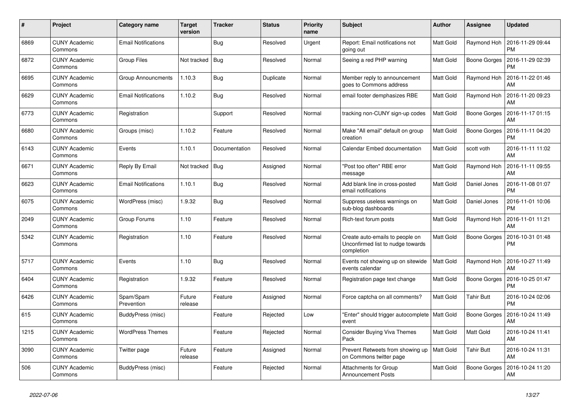| #    | Project                         | <b>Category name</b>       | <b>Target</b><br>version | <b>Tracker</b> | <b>Status</b> | <b>Priority</b><br>name | <b>Subject</b>                                                                     | <b>Author</b>    | <b>Assignee</b>     | <b>Updated</b>                |
|------|---------------------------------|----------------------------|--------------------------|----------------|---------------|-------------------------|------------------------------------------------------------------------------------|------------------|---------------------|-------------------------------|
| 6869 | <b>CUNY Academic</b><br>Commons | <b>Email Notifications</b> |                          | Bug            | Resolved      | Urgent                  | Report: Email notifications not<br>going out                                       | Matt Gold        | Raymond Hoh         | 2016-11-29 09:44<br><b>PM</b> |
| 6872 | <b>CUNY Academic</b><br>Commons | <b>Group Files</b>         | Not tracked              | Bug            | Resolved      | Normal                  | Seeing a red PHP warning                                                           | Matt Gold        | <b>Boone Gorges</b> | 2016-11-29 02:39<br><b>PM</b> |
| 6695 | <b>CUNY Academic</b><br>Commons | <b>Group Announcments</b>  | 1.10.3                   | Bug            | Duplicate     | Normal                  | Member reply to announcement<br>goes to Commons address                            | Matt Gold        | Raymond Hoh         | 2016-11-22 01:46<br>AM        |
| 6629 | <b>CUNY Academic</b><br>Commons | <b>Email Notifications</b> | 1.10.2                   | <b>Bug</b>     | Resolved      | Normal                  | email footer demphasizes RBE                                                       | Matt Gold        | Raymond Hoh         | 2016-11-20 09:23<br>AM        |
| 6773 | <b>CUNY Academic</b><br>Commons | Registration               |                          | Support        | Resolved      | Normal                  | tracking non-CUNY sign-up codes                                                    | Matt Gold        | Boone Gorges        | 2016-11-17 01:15<br>AM        |
| 6680 | <b>CUNY Academic</b><br>Commons | Groups (misc)              | 1.10.2                   | Feature        | Resolved      | Normal                  | Make "All email" default on group<br>creation                                      | Matt Gold        | Boone Gorges        | 2016-11-11 04:20<br><b>PM</b> |
| 6143 | <b>CUNY Academic</b><br>Commons | Events                     | 1.10.1                   | Documentation  | Resolved      | Normal                  | Calendar Embed documentation                                                       | Matt Gold        | scott voth          | 2016-11-11 11:02<br>AM        |
| 6671 | <b>CUNY Academic</b><br>Commons | Reply By Email             | Not tracked              | Bug            | Assigned      | Normal                  | "Post too often" RBE error<br>message                                              | Matt Gold        | Raymond Hoh         | 2016-11-11 09:55<br>AM        |
| 6623 | <b>CUNY Academic</b><br>Commons | <b>Email Notifications</b> | 1.10.1                   | <b>Bug</b>     | Resolved      | Normal                  | Add blank line in cross-posted<br>email notifications                              | Matt Gold        | Daniel Jones        | 2016-11-08 01:07<br><b>PM</b> |
| 6075 | <b>CUNY Academic</b><br>Commons | WordPress (misc)           | 1.9.32                   | Bug            | Resolved      | Normal                  | Suppress useless warnings on<br>sub-blog dashboards                                | Matt Gold        | Daniel Jones        | 2016-11-01 10:06<br><b>PM</b> |
| 2049 | <b>CUNY Academic</b><br>Commons | Group Forums               | 1.10                     | Feature        | Resolved      | Normal                  | Rich-text forum posts                                                              | Matt Gold        | Raymond Hoh         | 2016-11-01 11:21<br>AM        |
| 5342 | <b>CUNY Academic</b><br>Commons | Registration               | 1.10                     | Feature        | Resolved      | Normal                  | Create auto-emails to people on<br>Unconfirmed list to nudge towards<br>completion | Matt Gold        | <b>Boone Gorges</b> | 2016-10-31 01:48<br><b>PM</b> |
| 5717 | <b>CUNY Academic</b><br>Commons | Events                     | 1.10                     | <b>Bug</b>     | Resolved      | Normal                  | Events not showing up on sitewide<br>events calendar                               | Matt Gold        | Raymond Hoh         | 2016-10-27 11:49<br>AM        |
| 6404 | <b>CUNY Academic</b><br>Commons | Registration               | 1.9.32                   | Feature        | Resolved      | Normal                  | Registration page text change                                                      | Matt Gold        | Boone Gorges        | 2016-10-25 01:47<br><b>PM</b> |
| 6426 | <b>CUNY Academic</b><br>Commons | Spam/Spam<br>Prevention    | Future<br>release        | Feature        | Assigned      | Normal                  | Force captcha on all comments?                                                     | Matt Gold        | <b>Tahir Butt</b>   | 2016-10-24 02:06<br><b>PM</b> |
| 615  | <b>CUNY Academic</b><br>Commons | BuddyPress (misc)          |                          | Feature        | Rejected      | Low                     | "Enter" should trigger autocomplete   Matt Gold<br>event                           |                  | <b>Boone Gorges</b> | 2016-10-24 11:49<br>AM        |
| 1215 | <b>CUNY Academic</b><br>Commons | <b>WordPress Themes</b>    |                          | Feature        | Rejected      | Normal                  | <b>Consider Buying Viva Themes</b><br>Pack                                         | Matt Gold        | Matt Gold           | 2016-10-24 11:41<br>AM        |
| 3090 | <b>CUNY Academic</b><br>Commons | Twitter page               | Future<br>release        | Feature        | Assigned      | Normal                  | Prevent Retweets from showing up<br>on Commons twitter page                        | <b>Matt Gold</b> | <b>Tahir Butt</b>   | 2016-10-24 11:31<br>AM        |
| 506  | <b>CUNY Academic</b><br>Commons | BuddyPress (misc)          |                          | Feature        | Rejected      | Normal                  | <b>Attachments for Group</b><br><b>Announcement Posts</b>                          | Matt Gold        | <b>Boone Gorges</b> | 2016-10-24 11:20<br>AM        |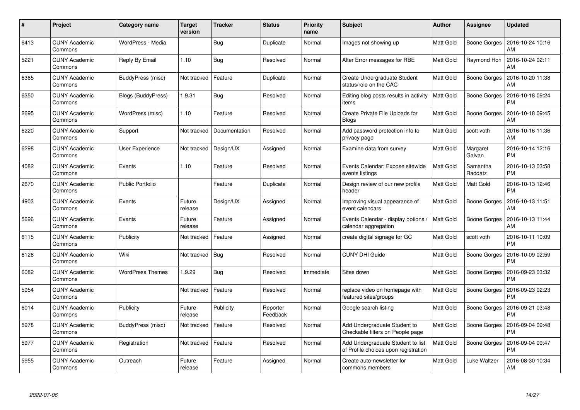| #    | Project                         | <b>Category name</b>    | <b>Target</b><br>version | <b>Tracker</b> | <b>Status</b>        | <b>Priority</b><br>name | <b>Subject</b>                                                            | Author    | <b>Assignee</b>     | <b>Updated</b>                |
|------|---------------------------------|-------------------------|--------------------------|----------------|----------------------|-------------------------|---------------------------------------------------------------------------|-----------|---------------------|-------------------------------|
| 6413 | <b>CUNY Academic</b><br>Commons | WordPress - Media       |                          | <b>Bug</b>     | Duplicate            | Normal                  | Images not showing up                                                     | Matt Gold | Boone Gorges        | 2016-10-24 10:16<br>AM        |
| 5221 | <b>CUNY Academic</b><br>Commons | Reply By Email          | 1.10                     | Bug            | Resolved             | Normal                  | Alter Error messages for RBE                                              | Matt Gold | Raymond Hoh         | 2016-10-24 02:11<br>AM        |
| 6365 | <b>CUNY Academic</b><br>Commons | BuddyPress (misc)       | Not tracked              | Feature        | Duplicate            | Normal                  | Create Undergraduate Student<br>status/role on the CAC                    | Matt Gold | <b>Boone Gorges</b> | 2016-10-20 11:38<br>AM        |
| 6350 | <b>CUNY Academic</b><br>Commons | Blogs (BuddyPress)      | 1.9.31                   | Bug            | Resolved             | Normal                  | Editing blog posts results in activity<br>items                           | Matt Gold | Boone Gorges        | 2016-10-18 09:24<br><b>PM</b> |
| 2695 | <b>CUNY Academic</b><br>Commons | WordPress (misc)        | 1.10                     | Feature        | Resolved             | Normal                  | Create Private File Uploads for<br><b>Blogs</b>                           | Matt Gold | Boone Gorges        | 2016-10-18 09:45<br>AM        |
| 6220 | <b>CUNY Academic</b><br>Commons | Support                 | Not tracked              | Documentation  | Resolved             | Normal                  | Add password protection info to<br>privacy page                           | Matt Gold | scott voth          | 2016-10-16 11:36<br>AM        |
| 6298 | <b>CUNY Academic</b><br>Commons | User Experience         | Not tracked              | Design/UX      | Assigned             | Normal                  | Examine data from survey                                                  | Matt Gold | Margaret<br>Galvan  | 2016-10-14 12:16<br><b>PM</b> |
| 4082 | <b>CUNY Academic</b><br>Commons | Events                  | 1.10                     | Feature        | Resolved             | Normal                  | Events Calendar: Expose sitewide<br>events listings                       | Matt Gold | Samantha<br>Raddatz | 2016-10-13 03:58<br><b>PM</b> |
| 2670 | <b>CUNY Academic</b><br>Commons | Public Portfolio        |                          | Feature        | Duplicate            | Normal                  | Design review of our new profile<br>header                                | Matt Gold | Matt Gold           | 2016-10-13 12:46<br><b>PM</b> |
| 4903 | <b>CUNY Academic</b><br>Commons | Events                  | Future<br>release        | Design/UX      | Assigned             | Normal                  | Improving visual appearance of<br>event calendars                         | Matt Gold | Boone Gorges        | 2016-10-13 11:51<br>AM        |
| 5696 | <b>CUNY Academic</b><br>Commons | Events                  | Future<br>release        | Feature        | Assigned             | Normal                  | Events Calendar - display options /<br>calendar aggregation               | Matt Gold | <b>Boone Gorges</b> | 2016-10-13 11:44<br>AM        |
| 6115 | <b>CUNY Academic</b><br>Commons | Publicity               | Not tracked              | Feature        | Assigned             | Normal                  | create digital signage for GC                                             | Matt Gold | scott voth          | 2016-10-11 10:09<br><b>PM</b> |
| 6126 | <b>CUNY Academic</b><br>Commons | Wiki                    | Not tracked              | <b>Bug</b>     | Resolved             | Normal                  | <b>CUNY DHI Guide</b>                                                     | Matt Gold | Boone Gorges        | 2016-10-09 02:59<br><b>PM</b> |
| 6082 | <b>CUNY Academic</b><br>Commons | <b>WordPress Themes</b> | 1.9.29                   | <b>Bug</b>     | Resolved             | Immediate               | Sites down                                                                | Matt Gold | Boone Gorges        | 2016-09-23 03:32<br><b>PM</b> |
| 5954 | <b>CUNY Academic</b><br>Commons |                         | Not tracked              | Feature        | Resolved             | Normal                  | replace video on homepage with<br>featured sites/groups                   | Matt Gold | <b>Boone Gorges</b> | 2016-09-23 02:23<br><b>PM</b> |
| 6014 | <b>CUNY Academic</b><br>Commons | Publicity               | Future<br>release        | Publicity      | Reporter<br>Feedback | Normal                  | Google search listing                                                     | Matt Gold | Boone Gorges        | 2016-09-21 03:48<br><b>PM</b> |
| 5978 | <b>CUNY Academic</b><br>Commons | BuddyPress (misc)       | Not tracked              | Feature        | Resolved             | Normal                  | Add Undergraduate Student to<br>Checkable filters on People page          | Matt Gold | Boone Gorges        | 2016-09-04 09:48<br><b>PM</b> |
| 5977 | <b>CUNY Academic</b><br>Commons | Registration            | Not tracked              | Feature        | Resolved             | Normal                  | Add Undergraduate Student to list<br>of Profile choices upon registration | Matt Gold | <b>Boone Gorges</b> | 2016-09-04 09:47<br><b>PM</b> |
| 5955 | <b>CUNY Academic</b><br>Commons | Outreach                | Future<br>release        | Feature        | Assigned             | Normal                  | Create auto-newsletter for<br>commons members                             | Matt Gold | Luke Waltzer        | 2016-08-30 10:34<br>AM        |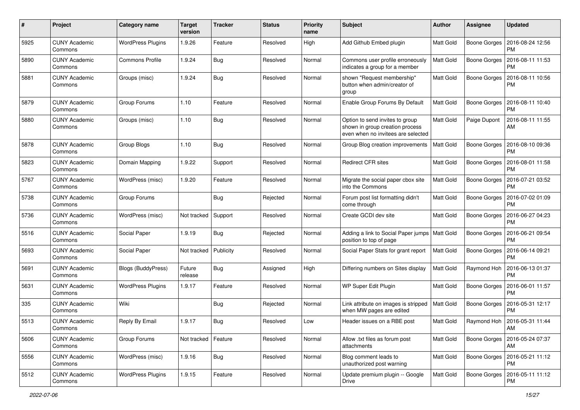| #    | Project                         | <b>Category name</b>     | <b>Target</b><br>version | <b>Tracker</b> | <b>Status</b> | <b>Priority</b><br>name | Subject                                                                                                  | Author           | Assignee            | <b>Updated</b>                |
|------|---------------------------------|--------------------------|--------------------------|----------------|---------------|-------------------------|----------------------------------------------------------------------------------------------------------|------------------|---------------------|-------------------------------|
| 5925 | <b>CUNY Academic</b><br>Commons | <b>WordPress Plugins</b> | 1.9.26                   | Feature        | Resolved      | High                    | Add Github Embed plugin                                                                                  | Matt Gold        | Boone Gorges        | 2016-08-24 12:56<br><b>PM</b> |
| 5890 | <b>CUNY Academic</b><br>Commons | <b>Commons Profile</b>   | 1.9.24                   | Bug            | Resolved      | Normal                  | Commons user profile erroneously<br>indicates a group for a member                                       | Matt Gold        | Boone Gorges        | 2016-08-11 11:53<br><b>PM</b> |
| 5881 | <b>CUNY Academic</b><br>Commons | Groups (misc)            | 1.9.24                   | Bug            | Resolved      | Normal                  | shown "Request membership"<br>button when admin/creator of<br>group                                      | Matt Gold        | <b>Boone Gorges</b> | 2016-08-11 10:56<br><b>PM</b> |
| 5879 | <b>CUNY Academic</b><br>Commons | Group Forums             | 1.10                     | Feature        | Resolved      | Normal                  | Enable Group Forums By Default                                                                           | Matt Gold        | <b>Boone Gorges</b> | 2016-08-11 10:40<br><b>PM</b> |
| 5880 | <b>CUNY Academic</b><br>Commons | Groups (misc)            | 1.10                     | Bug            | Resolved      | Normal                  | Option to send invites to group<br>shown in group creation process<br>even when no invitees are selected | Matt Gold        | Paige Dupont        | 2016-08-11 11:55<br>AM        |
| 5878 | <b>CUNY Academic</b><br>Commons | Group Blogs              | 1.10                     | <b>Bug</b>     | Resolved      | Normal                  | Group Blog creation improvements                                                                         | Matt Gold        | <b>Boone Gorges</b> | 2016-08-10 09:36<br><b>PM</b> |
| 5823 | <b>CUNY Academic</b><br>Commons | Domain Mapping           | 1.9.22                   | Support        | Resolved      | Normal                  | <b>Redirect CFR sites</b>                                                                                | Matt Gold        | Boone Gorges        | 2016-08-01 11:58<br><b>PM</b> |
| 5767 | <b>CUNY Academic</b><br>Commons | WordPress (misc)         | 1.9.20                   | Feature        | Resolved      | Normal                  | Migrate the social paper cbox site<br>into the Commons                                                   | Matt Gold        | Boone Gorges        | 2016-07-21 03:52<br><b>PM</b> |
| 5738 | <b>CUNY Academic</b><br>Commons | Group Forums             |                          | Bug            | Rejected      | Normal                  | Forum post list formatting didn't<br>come through                                                        | Matt Gold        | <b>Boone Gorges</b> | 2016-07-02 01:09<br><b>PM</b> |
| 5736 | <b>CUNY Academic</b><br>Commons | WordPress (misc)         | Not tracked              | Support        | Resolved      | Normal                  | Create GCDI dev site                                                                                     | Matt Gold        | <b>Boone Gorges</b> | 2016-06-27 04:23<br><b>PM</b> |
| 5516 | <b>CUNY Academic</b><br>Commons | Social Paper             | 1.9.19                   | Bug            | Rejected      | Normal                  | Adding a link to Social Paper jumps   Matt Gold<br>position to top of page                               |                  | Boone Gorges        | 2016-06-21 09:54<br><b>PM</b> |
| 5693 | <b>CUNY Academic</b><br>Commons | Social Paper             | Not tracked              | Publicity      | Resolved      | Normal                  | Social Paper Stats for grant report                                                                      | Matt Gold        | <b>Boone Gorges</b> | 2016-06-14 09:21<br>PM        |
| 5691 | <b>CUNY Academic</b><br>Commons | Blogs (BuddyPress)       | Future<br>release        | Bug            | Assigned      | High                    | Differing numbers on Sites display                                                                       | <b>Matt Gold</b> | Raymond Hoh         | 2016-06-13 01:37<br><b>PM</b> |
| 5631 | <b>CUNY Academic</b><br>Commons | <b>WordPress Plugins</b> | 1.9.17                   | Feature        | Resolved      | Normal                  | WP Super Edit Plugin                                                                                     | Matt Gold        | Boone Gorges        | 2016-06-01 11:57<br><b>PM</b> |
| 335  | <b>CUNY Academic</b><br>Commons | Wiki                     |                          | Bug            | Rejected      | Normal                  | Link attribute on images is stripped<br>when MW pages are edited                                         | Matt Gold        | Boone Gorges        | 2016-05-31 12:17<br><b>PM</b> |
| 5513 | <b>CUNY Academic</b><br>∪ommons | Reply By Email           | 1.9.17                   | <b>Bug</b>     | Resolved      | Low                     | Header issues on a RBE post                                                                              | Matt Gold        | Raymond Hoh         | 2016-05-31 11:44<br>AM        |
| 5606 | <b>CUNY Academic</b><br>Commons | Group Forums             | Not tracked              | Feature        | Resolved      | Normal                  | Allow .txt files as forum post<br>attachments                                                            | Matt Gold        | Boone Gorges        | 2016-05-24 07:37<br>AM        |
| 5556 | <b>CUNY Academic</b><br>Commons | WordPress (misc)         | 1.9.16                   | <b>Bug</b>     | Resolved      | Normal                  | Blog comment leads to<br>unauthorized post warning                                                       | Matt Gold        | Boone Gorges        | 2016-05-21 11:12<br><b>PM</b> |
| 5512 | <b>CUNY Academic</b><br>Commons | <b>WordPress Plugins</b> | 1.9.15                   | Feature        | Resolved      | Normal                  | Update premium plugin -- Google<br><b>Drive</b>                                                          | Matt Gold        | Boone Gorges        | 2016-05-11 11:12<br><b>PM</b> |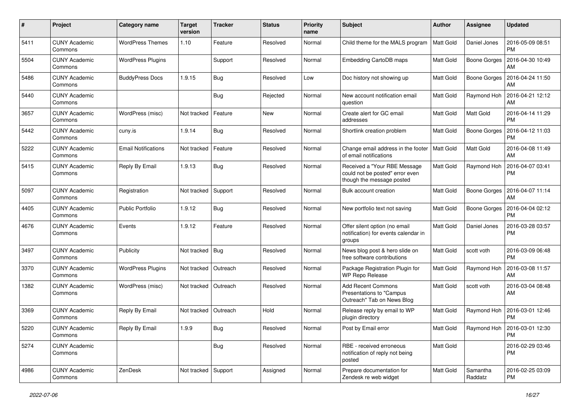| #    | Project                         | Category name              | <b>Target</b><br>version | <b>Tracker</b> | <b>Status</b> | <b>Priority</b><br>name | Subject                                                                                      | Author           | Assignee            | <b>Updated</b>                            |
|------|---------------------------------|----------------------------|--------------------------|----------------|---------------|-------------------------|----------------------------------------------------------------------------------------------|------------------|---------------------|-------------------------------------------|
| 5411 | <b>CUNY Academic</b><br>Commons | <b>WordPress Themes</b>    | 1.10                     | Feature        | Resolved      | Normal                  | Child theme for the MALS program                                                             | Matt Gold        | Daniel Jones        | 2016-05-09 08:51<br>PM                    |
| 5504 | <b>CUNY Academic</b><br>Commons | <b>WordPress Plugins</b>   |                          | Support        | Resolved      | Normal                  | Embedding CartoDB maps                                                                       | <b>Matt Gold</b> | <b>Boone Gorges</b> | 2016-04-30 10:49<br>AM                    |
| 5486 | CUNY Academic<br>Commons        | <b>BuddyPress Docs</b>     | 1.9.15                   | Bug            | Resolved      | Low                     | Doc history not showing up                                                                   | Matt Gold        | Boone Gorges        | 2016-04-24 11:50<br>AM                    |
| 5440 | <b>CUNY Academic</b><br>Commons |                            |                          | Bug            | Rejected      | Normal                  | New account notification email<br>auestion                                                   | <b>Matt Gold</b> | Raymond Hoh         | 2016-04-21 12:12<br>AM                    |
| 3657 | <b>CUNY Academic</b><br>Commons | WordPress (misc)           | Not tracked              | Feature        | New           | Normal                  | Create alert for GC email<br>addresses                                                       | <b>Matt Gold</b> | Matt Gold           | 2016-04-14 11:29<br><b>PM</b>             |
| 5442 | <b>CUNY Academic</b><br>Commons | cuny.is                    | 1.9.14                   | Bug            | Resolved      | Normal                  | Shortlink creation problem                                                                   | <b>Matt Gold</b> | <b>Boone Gorges</b> | 2016-04-12 11:03<br>PM                    |
| 5222 | <b>CUNY Academic</b><br>Commons | <b>Email Notifications</b> | Not tracked              | Feature        | Resolved      | Normal                  | Change email address in the footer<br>of email notifications                                 | Matt Gold        | Matt Gold           | 2016-04-08 11:49<br>AM                    |
| 5415 | <b>CUNY Academic</b><br>Commons | Reply By Email             | 1.9.13                   | Bug            | Resolved      | Normal                  | Received a "Your RBE Message<br>could not be posted" error even<br>though the message posted | Matt Gold        | Raymond Hoh         | 2016-04-07 03:41<br>PM                    |
| 5097 | <b>CUNY Academic</b><br>Commons | Registration               | Not tracked              | Support        | Resolved      | Normal                  | Bulk account creation                                                                        | Matt Gold        | Boone Gorges        | 2016-04-07 11:14<br>AM                    |
| 4405 | <b>CUNY Academic</b><br>Commons | Public Portfolio           | 1.9.12                   | <b>Bug</b>     | Resolved      | Normal                  | New portfolio text not saving                                                                | Matt Gold        | <b>Boone Gorges</b> | 2016-04-04 02:12<br><b>PM</b>             |
| 4676 | <b>CUNY Academic</b><br>Commons | Events                     | 1.9.12                   | Feature        | Resolved      | Normal                  | Offer silent option (no email<br>notification) for events calendar in<br>groups              | Matt Gold        | Daniel Jones        | 2016-03-28 03:57<br>PM                    |
| 3497 | <b>CUNY Academic</b><br>Commons | Publicity                  | Not tracked              | Bug            | Resolved      | Normal                  | News blog post & hero slide on<br>free software contributions                                | <b>Matt Gold</b> | scott voth          | 2016-03-09 06:48<br>PM                    |
| 3370 | <b>CUNY Academic</b><br>Commons | <b>WordPress Plugins</b>   | Not tracked              | Outreach       | Resolved      | Normal                  | Package Registration Plugin for<br><b>WP Repo Release</b>                                    | <b>Matt Gold</b> | Raymond Hoh         | 2016-03-08 11:57<br>AM                    |
| 1382 | <b>CUNY Academic</b><br>Commons | WordPress (misc)           | Not tracked   Outreach   |                | Resolved      | Normal                  | <b>Add Recent Commons</b><br>Presentations to "Campus<br>Outreach" Tab on News Blog          | Matt Gold        | scott voth          | 2016-03-04 08:48<br>AM                    |
| 3369 | <b>CUNY Academic</b><br>Commons | Reply By Email             | Not tracked              | Outreach       | Hold          | Normal                  | Release reply by email to WP<br>plugin directory                                             | <b>Matt Gold</b> | Raymond Hoh         | 2016-03-01 12:46<br><b>PM</b>             |
| 5220 | <b>CUNY Academic</b><br>Commons | Reply By Email             | 1.9.9                    | <b>Bug</b>     | Resolved      | Normal                  | Post by Email error                                                                          | Matt Gold        |                     | Raymond Hoh 2016-03-01 12:30<br><b>PM</b> |
| 5274 | <b>CUNY Academic</b><br>Commons |                            |                          | Bug            | Resolved      | Normal                  | RBE - received erroneous<br>notification of reply not being<br>posted                        | Matt Gold        |                     | 2016-02-29 03:46<br>PM                    |
| 4986 | <b>CUNY Academic</b><br>Commons | ZenDesk                    | Not tracked Support      |                | Assigned      | Normal                  | Prepare documentation for<br>Zendesk re web widget                                           | Matt Gold        | Samantha<br>Raddatz | 2016-02-25 03:09<br>PM                    |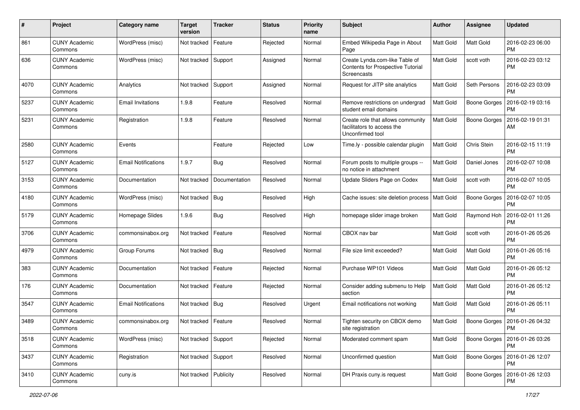| #    | Project                         | Category name              | <b>Target</b><br>version | <b>Tracker</b> | <b>Status</b> | <b>Priority</b><br>name | <b>Subject</b>                                                                      | <b>Author</b>    | <b>Assignee</b>     | <b>Updated</b>                |
|------|---------------------------------|----------------------------|--------------------------|----------------|---------------|-------------------------|-------------------------------------------------------------------------------------|------------------|---------------------|-------------------------------|
| 861  | <b>CUNY Academic</b><br>Commons | WordPress (misc)           | Not tracked              | Feature        | Rejected      | Normal                  | Embed Wikipedia Page in About<br>Page                                               | <b>Matt Gold</b> | <b>Matt Gold</b>    | 2016-02-23 06:00<br><b>PM</b> |
| 636  | <b>CUNY Academic</b><br>Commons | WordPress (misc)           | Not tracked Support      |                | Assigned      | Normal                  | Create Lynda.com-like Table of<br>Contents for Prospective Tutorial<br>Screencasts  | <b>Matt Gold</b> | scott voth          | 2016-02-23 03:12<br>PM        |
| 4070 | <b>CUNY Academic</b><br>Commons | Analytics                  | Not tracked              | Support        | Assigned      | Normal                  | Request for JITP site analytics                                                     | Matt Gold        | Seth Persons        | 2016-02-23 03:09<br>PM        |
| 5237 | CUNY Academic<br>Commons        | Email Invitations          | 1.9.8                    | Feature        | Resolved      | Normal                  | Remove restrictions on undergrad<br>student email domains                           | <b>Matt Gold</b> | <b>Boone Gorges</b> | 2016-02-19 03:16<br>PM        |
| 5231 | <b>CUNY Academic</b><br>Commons | Registration               | 1.9.8                    | Feature        | Resolved      | Normal                  | Create role that allows community<br>facilitators to access the<br>Unconfirmed tool | Matt Gold        | <b>Boone Gorges</b> | 2016-02-19 01:31<br>AM        |
| 2580 | <b>CUNY Academic</b><br>Commons | Events                     |                          | Feature        | Rejected      | Low                     | Time.ly - possible calendar plugin                                                  | <b>Matt Gold</b> | Chris Stein         | 2016-02-15 11:19<br><b>PM</b> |
| 5127 | CUNY Academic<br>Commons        | <b>Email Notifications</b> | 1.9.7                    | Bug            | Resolved      | Normal                  | Forum posts to multiple groups --<br>no notice in attachment                        | <b>Matt Gold</b> | Daniel Jones        | 2016-02-07 10:08<br><b>PM</b> |
| 3153 | <b>CUNY Academic</b><br>Commons | Documentation              | Not tracked              | Documentation  | Resolved      | Normal                  | Update Sliders Page on Codex                                                        | Matt Gold        | scott voth          | 2016-02-07 10:05<br>PM        |
| 4180 | <b>CUNY Academic</b><br>Commons | WordPress (misc)           | Not tracked              | Bug            | Resolved      | High                    | Cache issues: site deletion process                                                 | Matt Gold        | <b>Boone Gorges</b> | 2016-02-07 10:05<br>РM        |
| 5179 | <b>CUNY Academic</b><br>Commons | Homepage Slides            | 1.9.6                    | <b>Bug</b>     | Resolved      | High                    | homepage slider image broken                                                        | Matt Gold        | Raymond Hoh         | 2016-02-01 11:26<br>PM        |
| 3706 | <b>CUNY Academic</b><br>Commons | commonsinabox.org          | Not tracked              | Feature        | Resolved      | Normal                  | CBOX nav bar                                                                        | <b>Matt Gold</b> | scott voth          | 2016-01-26 05:26<br><b>PM</b> |
| 4979 | CUNY Academic<br>Commons        | Group Forums               | Not tracked              | Bug            | Resolved      | Normal                  | File size limit exceeded?                                                           | Matt Gold        | Matt Gold           | 2016-01-26 05:16<br>PM        |
| 383  | <b>CUNY Academic</b><br>Commons | Documentation              | Not tracked              | Feature        | Rejected      | Normal                  | Purchase WP101 Videos                                                               | Matt Gold        | Matt Gold           | 2016-01-26 05:12<br><b>PM</b> |
| 176  | <b>CUNY Academic</b><br>Commons | Documentation              | Not tracked              | Feature        | Rejected      | Normal                  | Consider adding submenu to Help<br>section                                          | <b>Matt Gold</b> | <b>Matt Gold</b>    | 2016-01-26 05:12<br><b>PM</b> |
| 3547 | <b>CUNY Academic</b><br>Commons | <b>Email Notifications</b> | Not tracked   Bug        |                | Resolved      | Urgent                  | Email notifications not working                                                     | Matt Gold        | <b>Matt Gold</b>    | 2016-01-26 05:11<br>PM        |
| 3489 | <b>CUNY Academic</b><br>Commons | commonsinabox.org          | Not tracked              | Feature        | Resolved      | Normal                  | Tighten security on CBOX demo<br>site registration                                  | <b>Matt Gold</b> | <b>Boone Gorges</b> | 2016-01-26 04:32<br>PM        |
| 3518 | <b>CUNY Academic</b><br>Commons | WordPress (misc)           | Not tracked              | Support        | Rejected      | Normal                  | Moderated comment spam                                                              | Matt Gold        | Boone Gorges        | 2016-01-26 03:26<br>PM        |
| 3437 | <b>CUNY Academic</b><br>Commons | Registration               | Not tracked Support      |                | Resolved      | Normal                  | Unconfirmed question                                                                | <b>Matt Gold</b> | Boone Gorges        | 2016-01-26 12:07<br><b>PM</b> |
| 3410 | <b>CUNY Academic</b><br>Commons | cuny.is                    | Not tracked   Publicity  |                | Resolved      | Normal                  | DH Praxis cuny.is request                                                           | Matt Gold        | Boone Gorges        | 2016-01-26 12:03<br>PM        |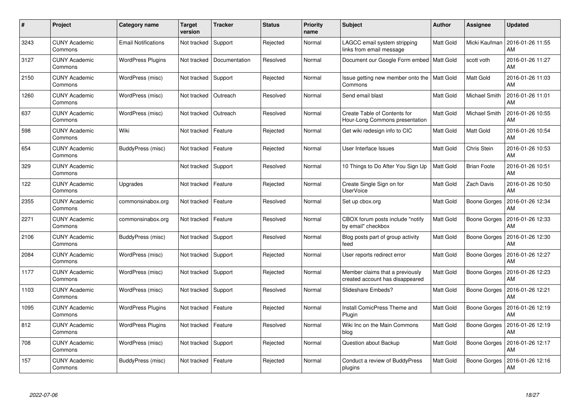| #    | Project                         | <b>Category name</b>       | <b>Target</b><br>version | <b>Tracker</b> | <b>Status</b> | <b>Priority</b><br>name | <b>Subject</b>                                                     | Author           | <b>Assignee</b>      | <b>Updated</b>         |
|------|---------------------------------|----------------------------|--------------------------|----------------|---------------|-------------------------|--------------------------------------------------------------------|------------------|----------------------|------------------------|
| 3243 | <b>CUNY Academic</b><br>Commons | <b>Email Notifications</b> | Not tracked              | Support        | Rejected      | Normal                  | LAGCC email system stripping<br>links from email message           | <b>Matt Gold</b> | Micki Kaufman        | 2016-01-26 11:55<br>AM |
| 3127 | <b>CUNY Academic</b><br>Commons | <b>WordPress Plugins</b>   | Not tracked              | Documentation  | Resolved      | Normal                  | Document our Google Form embed   Matt Gold                         |                  | scott voth           | 2016-01-26 11:27<br>AM |
| 2150 | <b>CUNY Academic</b><br>Commons | WordPress (misc)           | Not tracked              | Support        | Rejected      | Normal                  | Issue getting new member onto the   Matt Gold<br>Commons           |                  | Matt Gold            | 2016-01-26 11:03<br>AM |
| 1260 | <b>CUNY Academic</b><br>Commons | WordPress (misc)           | Not tracked              | Outreach       | Resolved      | Normal                  | Send email blast                                                   | Matt Gold        | Michael Smith        | 2016-01-26 11:01<br>AM |
| 637  | <b>CUNY Academic</b><br>Commons | WordPress (misc)           | Not tracked              | Outreach       | Resolved      | Normal                  | Create Table of Contents for<br>Hour-Long Commons presentation     | Matt Gold        | <b>Michael Smith</b> | 2016-01-26 10:55<br>AM |
| 598  | <b>CUNY Academic</b><br>Commons | Wiki                       | Not tracked              | Feature        | Rejected      | Normal                  | Get wiki redesign info to CIC                                      | Matt Gold        | Matt Gold            | 2016-01-26 10:54<br>AM |
| 654  | <b>CUNY Academic</b><br>Commons | <b>BuddyPress (misc)</b>   | Not tracked              | Feature        | Rejected      | Normal                  | User Interface Issues                                              | Matt Gold        | Chris Stein          | 2016-01-26 10:53<br>AM |
| 329  | <b>CUNY Academic</b><br>Commons |                            | Not tracked              | Support        | Resolved      | Normal                  | 10 Things to Do After You Sign Up                                  | Matt Gold        | <b>Brian Foote</b>   | 2016-01-26 10:51<br>AM |
| 122  | <b>CUNY Academic</b><br>Commons | <b>Upgrades</b>            | Not tracked              | Feature        | Rejected      | Normal                  | Create Single Sign on for<br><b>UserVoice</b>                      | Matt Gold        | Zach Davis           | 2016-01-26 10:50<br>AM |
| 2355 | <b>CUNY Academic</b><br>Commons | commonsinabox.org          | Not tracked              | Feature        | Resolved      | Normal                  | Set up cbox.org                                                    | <b>Matt Gold</b> | Boone Gorges         | 2016-01-26 12:34<br>AM |
| 2271 | <b>CUNY Academic</b><br>Commons | commonsinabox.org          | Not tracked              | Feature        | Resolved      | Normal                  | CBOX forum posts include "notify<br>by email" checkbox             | Matt Gold        | <b>Boone Gorges</b>  | 2016-01-26 12:33<br>AM |
| 2106 | <b>CUNY Academic</b><br>Commons | BuddyPress (misc)          | Not tracked              | Support        | Resolved      | Normal                  | Blog posts part of group activity<br>feed                          | Matt Gold        | Boone Gorges         | 2016-01-26 12:30<br>AM |
| 2084 | <b>CUNY Academic</b><br>Commons | WordPress (misc)           | Not tracked              | Support        | Rejected      | Normal                  | User reports redirect error                                        | Matt Gold        | Boone Gorges         | 2016-01-26 12:27<br>AM |
| 1177 | <b>CUNY Academic</b><br>Commons | WordPress (misc)           | Not tracked              | Support        | Rejected      | Normal                  | Member claims that a previously<br>created account has disappeared | Matt Gold        | <b>Boone Gorges</b>  | 2016-01-26 12:23<br>AM |
| 1103 | <b>CUNY Academic</b><br>Commons | WordPress (misc)           | Not tracked              | Support        | Resolved      | Normal                  | Slideshare Embeds?                                                 | Matt Gold        | <b>Boone Gorges</b>  | 2016-01-26 12:21<br>AM |
| 1095 | <b>CUNY Academic</b><br>Commons | <b>WordPress Plugins</b>   | Not tracked              | Feature        | Rejected      | Normal                  | Install ComicPress Theme and<br>Plugin                             | Matt Gold        | Boone Gorges         | 2016-01-26 12:19<br>AM |
| 812  | <b>CUNY Academic</b><br>Commons | <b>WordPress Plugins</b>   | Not tracked              | Feature        | Resolved      | Normal                  | Wiki Inc on the Main Commons<br>blog                               | Matt Gold        | Boone Gorges         | 2016-01-26 12:19<br>AM |
| 708  | <b>CUNY Academic</b><br>Commons | WordPress (misc)           | Not tracked              | Support        | Rejected      | Normal                  | Question about Backup                                              | Matt Gold        | <b>Boone Gorges</b>  | 2016-01-26 12:17<br>AM |
| 157  | CUNY Academic<br>Commons        | BuddyPress (misc)          | Not tracked              | Feature        | Rejected      | Normal                  | Conduct a review of BuddyPress<br>plugins                          | Matt Gold        | Boone Gorges         | 2016-01-26 12:16<br>AM |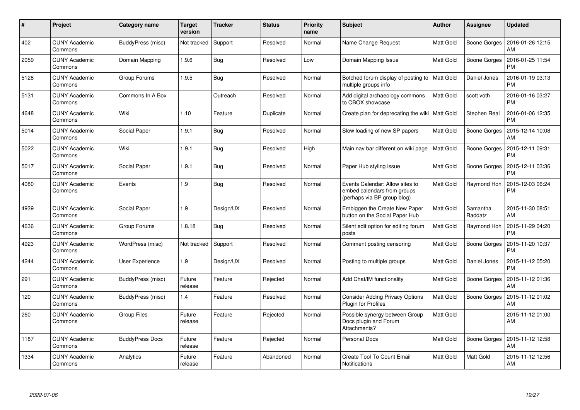| #    | Project                         | <b>Category name</b>   | <b>Target</b><br>version | <b>Tracker</b> | <b>Status</b> | <b>Priority</b><br>name | <b>Subject</b>                                                                                | <b>Author</b>    | Assignee            | <b>Updated</b>                |
|------|---------------------------------|------------------------|--------------------------|----------------|---------------|-------------------------|-----------------------------------------------------------------------------------------------|------------------|---------------------|-------------------------------|
| 402  | <b>CUNY Academic</b><br>Commons | BuddyPress (misc)      | Not tracked              | Support        | Resolved      | Normal                  | Name Change Request                                                                           | Matt Gold        | Boone Gorges        | 2016-01-26 12:15<br>AM        |
| 2059 | <b>CUNY Academic</b><br>Commons | Domain Mapping         | 1.9.6                    | <b>Bug</b>     | Resolved      | Low                     | Domain Mapping Issue                                                                          | Matt Gold        | <b>Boone Gorges</b> | 2016-01-25 11:54<br><b>PM</b> |
| 5128 | <b>CUNY Academic</b><br>Commons | Group Forums           | 1.9.5                    | Bug            | Resolved      | Normal                  | Botched forum display of posting to   Matt Gold<br>multiple groups info                       |                  | Daniel Jones        | 2016-01-19 03:13<br><b>PM</b> |
| 5131 | <b>CUNY Academic</b><br>Commons | Commons In A Box       |                          | Outreach       | Resolved      | Normal                  | Add digital archaeology commons<br>to CBOX showcase                                           | Matt Gold        | scott voth          | 2016-01-16 03:27<br><b>PM</b> |
| 4648 | <b>CUNY Academic</b><br>Commons | Wiki                   | 1.10                     | Feature        | Duplicate     | Normal                  | Create plan for deprecating the wiki   Matt Gold                                              |                  | Stephen Real        | 2016-01-06 12:35<br><b>PM</b> |
| 5014 | <b>CUNY Academic</b><br>Commons | Social Paper           | 1.9.1                    | <b>Bug</b>     | Resolved      | Normal                  | Slow loading of new SP papers                                                                 | Matt Gold        | Boone Gorges        | 2015-12-14 10:08<br>AM        |
| 5022 | <b>CUNY Academic</b><br>Commons | Wiki                   | 1.9.1                    | <b>Bug</b>     | Resolved      | High                    | Main nav bar different on wiki page                                                           | <b>Matt Gold</b> | Boone Gorges        | 2015-12-11 09:31<br><b>PM</b> |
| 5017 | <b>CUNY Academic</b><br>Commons | Social Paper           | 1.9.1                    | <b>Bug</b>     | Resolved      | Normal                  | Paper Hub styling issue                                                                       | Matt Gold        | <b>Boone Gorges</b> | 2015-12-11 03:36<br><b>PM</b> |
| 4080 | <b>CUNY Academic</b><br>Commons | Events                 | 1.9                      | <b>Bug</b>     | Resolved      | Normal                  | Events Calendar: Allow sites to<br>embed calendars from groups<br>(perhaps via BP group blog) | Matt Gold        | Raymond Hoh         | 2015-12-03 06:24<br><b>PM</b> |
| 4939 | <b>CUNY Academic</b><br>Commons | Social Paper           | 1.9                      | Design/UX      | Resolved      | Normal                  | Embiggen the Create New Paper<br>button on the Social Paper Hub                               | Matt Gold        | Samantha<br>Raddatz | 2015-11-30 08:51<br>AM        |
| 4636 | <b>CUNY Academic</b><br>Commons | Group Forums           | 1.8.18                   | <b>Bug</b>     | Resolved      | Normal                  | Silent edit option for editing forum<br>posts                                                 | Matt Gold        | Raymond Hoh         | 2015-11-29 04:20<br><b>PM</b> |
| 4923 | <b>CUNY Academic</b><br>Commons | WordPress (misc)       | Not tracked              | Support        | Resolved      | Normal                  | Comment posting censoring                                                                     | Matt Gold        | Boone Gorges        | 2015-11-20 10:37<br><b>PM</b> |
| 4244 | <b>CUNY Academic</b><br>Commons | User Experience        | 1.9                      | Design/UX      | Resolved      | Normal                  | Posting to multiple groups                                                                    | Matt Gold        | Daniel Jones        | 2015-11-12 05:20<br><b>PM</b> |
| 291  | <b>CUNY Academic</b><br>Commons | BuddyPress (misc)      | Future<br>release        | Feature        | Rejected      | Normal                  | Add Chat/IM functionality                                                                     | Matt Gold        | Boone Gorges        | 2015-11-12 01:36<br>AM        |
| 120  | <b>CUNY Academic</b><br>Commons | BuddyPress (misc)      | 1.4                      | Feature        | Resolved      | Normal                  | <b>Consider Adding Privacy Options</b><br><b>Plugin for Profiles</b>                          | Matt Gold        | Boone Gorges        | 2015-11-12 01:02<br>AM        |
| 260  | <b>CUNY Academic</b><br>Commons | <b>Group Files</b>     | Future<br>release        | Feature        | Rejected      | Normal                  | Possible synergy between Group<br>Docs plugin and Forum<br>Attachments?                       | Matt Gold        |                     | 2015-11-12 01:00<br>AM        |
| 1187 | <b>CUNY Academic</b><br>Commons | <b>BuddyPress Docs</b> | Future<br>release        | Feature        | Rejected      | Normal                  | <b>Personal Docs</b>                                                                          | Matt Gold        | Boone Gorges        | 2015-11-12 12:58<br>AM        |
| 1334 | <b>CUNY Academic</b><br>Commons | Analytics              | Future<br>release        | Feature        | Abandoned     | Normal                  | <b>Create Tool To Count Email</b><br>Notifications                                            | Matt Gold        | Matt Gold           | 2015-11-12 12:56<br>AM        |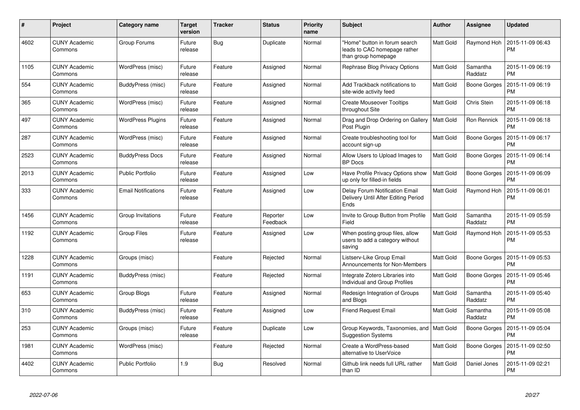| #    | Project                         | Category name              | <b>Target</b><br>version | <b>Tracker</b> | <b>Status</b>        | <b>Priority</b><br>name | <b>Subject</b>                                                                       | <b>Author</b>    | <b>Assignee</b>     | <b>Updated</b>                |
|------|---------------------------------|----------------------------|--------------------------|----------------|----------------------|-------------------------|--------------------------------------------------------------------------------------|------------------|---------------------|-------------------------------|
| 4602 | <b>CUNY Academic</b><br>Commons | Group Forums               | Future<br>release        | Bug            | Duplicate            | Normal                  | "Home" button in forum search<br>leads to CAC homepage rather<br>than group homepage | Matt Gold        | Raymond Hoh         | 2015-11-09 06:43<br>PM        |
| 1105 | <b>CUNY Academic</b><br>Commons | WordPress (misc)           | Future<br>release        | Feature        | Assigned             | Normal                  | Rephrase Blog Privacy Options                                                        | Matt Gold        | Samantha<br>Raddatz | 2015-11-09 06:19<br><b>PM</b> |
| 554  | <b>CUNY Academic</b><br>Commons | BuddyPress (misc)          | Future<br>release        | Feature        | Assigned             | Normal                  | Add Trackback notifications to<br>site-wide activity feed                            | Matt Gold        | Boone Gorges        | 2015-11-09 06:19<br><b>PM</b> |
| 365  | <b>CUNY Academic</b><br>Commons | WordPress (misc)           | Future<br>release        | Feature        | Assigned             | Normal                  | <b>Create Mouseover Tooltips</b><br>throughout Site                                  | Matt Gold        | Chris Stein         | 2015-11-09 06:18<br>PM        |
| 497  | <b>CUNY Academic</b><br>Commons | <b>WordPress Plugins</b>   | Future<br>release        | Feature        | Assigned             | Normal                  | Drag and Drop Ordering on Gallery<br>Post Plugin                                     | <b>Matt Gold</b> | Ron Rennick         | 2015-11-09 06:18<br>PM        |
| 287  | <b>CUNY Academic</b><br>Commons | WordPress (misc)           | Future<br>release        | Feature        | Assigned             | Normal                  | Create troubleshooting tool for<br>account sign-up                                   | Matt Gold        | Boone Gorges        | 2015-11-09 06:17<br>PM        |
| 2523 | <b>CUNY Academic</b><br>Commons | <b>BuddyPress Docs</b>     | Future<br>release        | Feature        | Assigned             | Normal                  | Allow Users to Upload Images to<br><b>BP</b> Docs                                    | Matt Gold        | Boone Gorges        | 2015-11-09 06:14<br><b>PM</b> |
| 2013 | <b>CUNY Academic</b><br>Commons | <b>Public Portfolio</b>    | Future<br>release        | Feature        | Assigned             | Low                     | Have Profile Privacy Options show<br>up only for filled-in fields                    | <b>Matt Gold</b> | Boone Gorges        | 2015-11-09 06:09<br><b>PM</b> |
| 333  | <b>CUNY Academic</b><br>Commons | <b>Email Notifications</b> | Future<br>release        | Feature        | Assigned             | Low                     | Delay Forum Notification Email<br>Delivery Until After Editing Period<br>Ends        | Matt Gold        | Raymond Hoh         | 2015-11-09 06:01<br>PM        |
| 1456 | <b>CUNY Academic</b><br>Commons | Group Invitations          | Future<br>release        | Feature        | Reporter<br>Feedback | Low                     | Invite to Group Button from Profile<br>Field                                         | <b>Matt Gold</b> | Samantha<br>Raddatz | 2015-11-09 05:59<br><b>PM</b> |
| 1192 | <b>CUNY Academic</b><br>Commons | <b>Group Files</b>         | Future<br>release        | Feature        | Assigned             | Low                     | When posting group files, allow<br>users to add a category without<br>saving         | Matt Gold        | Raymond Hoh         | 2015-11-09 05:53<br><b>PM</b> |
| 1228 | <b>CUNY Academic</b><br>Commons | Groups (misc)              |                          | Feature        | Rejected             | Normal                  | Listserv-Like Group Email<br>Announcements for Non-Members                           | Matt Gold        | Boone Gorges        | 2015-11-09 05:53<br>PM        |
| 1191 | <b>CUNY Academic</b><br>Commons | BuddyPress (misc)          |                          | Feature        | Rejected             | Normal                  | Integrate Zotero Libraries into<br><b>Individual and Group Profiles</b>              | Matt Gold        | Boone Gorges        | 2015-11-09 05:46<br>PM        |
| 653  | <b>CUNY Academic</b><br>Commons | Group Blogs                | Future<br>release        | Feature        | Assigned             | Normal                  | Redesign Integration of Groups<br>and Blogs                                          | Matt Gold        | Samantha<br>Raddatz | 2015-11-09 05:40<br><b>PM</b> |
| 310  | <b>CUNY Academic</b><br>Commons | BuddyPress (misc)          | Future<br>release        | Feature        | Assigned             | Low                     | <b>Friend Request Email</b>                                                          | Matt Gold        | Samantha<br>Raddatz | 2015-11-09 05:08<br><b>PM</b> |
| 253  | <b>CUNY Academic</b><br>Commons | Groups (misc)              | Future<br>release        | Feature        | Duplicate            | Low                     | Group Keywords, Taxonomies, and   Matt Gold<br><b>Suggestion Systems</b>             |                  | Boone Gorges        | 2015-11-09 05:04<br><b>PM</b> |
| 1981 | <b>CUNY Academic</b><br>Commons | WordPress (misc)           |                          | Feature        | Rejected             | Normal                  | Create a WordPress-based<br>alternative to UserVoice                                 | Matt Gold        | Boone Gorges        | 2015-11-09 02:50<br><b>PM</b> |
| 4402 | CUNY Academic<br>Commons        | <b>Public Portfolio</b>    | 1.9                      | <b>Bug</b>     | Resolved             | Normal                  | Github link needs full URL rather<br>than ID                                         | <b>Matt Gold</b> | Daniel Jones        | 2015-11-09 02:21<br>PM        |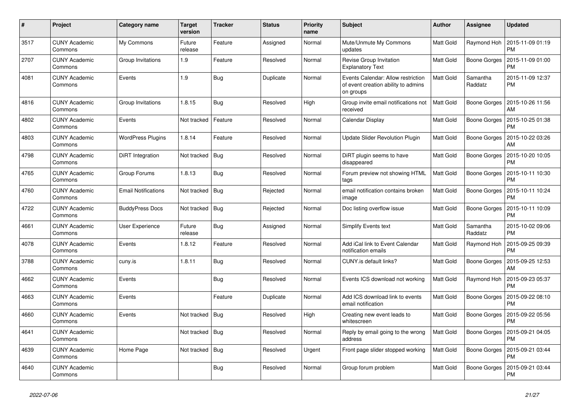| #    | Project                         | Category name              | <b>Target</b><br>version | <b>Tracker</b> | <b>Status</b> | <b>Priority</b><br>name | <b>Subject</b>                                                                         | <b>Author</b>    | <b>Assignee</b>     | <b>Updated</b>                |
|------|---------------------------------|----------------------------|--------------------------|----------------|---------------|-------------------------|----------------------------------------------------------------------------------------|------------------|---------------------|-------------------------------|
| 3517 | <b>CUNY Academic</b><br>Commons | My Commons                 | Future<br>release        | Feature        | Assigned      | Normal                  | Mute/Unmute My Commons<br>updates                                                      | Matt Gold        | Raymond Hoh         | 2015-11-09 01:19<br><b>PM</b> |
| 2707 | <b>CUNY Academic</b><br>Commons | Group Invitations          | 1.9                      | Feature        | Resolved      | Normal                  | Revise Group Invitation<br><b>Explanatory Text</b>                                     | Matt Gold        | <b>Boone Gorges</b> | 2015-11-09 01:00<br><b>PM</b> |
| 4081 | <b>CUNY Academic</b><br>Commons | Events                     | 1.9                      | Bug            | Duplicate     | Normal                  | Events Calendar: Allow restriction<br>of event creation ability to admins<br>on groups | Matt Gold        | Samantha<br>Raddatz | 2015-11-09 12:37<br><b>PM</b> |
| 4816 | <b>CUNY Academic</b><br>Commons | Group Invitations          | 1.8.15                   | Bug            | Resolved      | High                    | Group invite email notifications not<br>received                                       | <b>Matt Gold</b> | <b>Boone Gorges</b> | 2015-10-26 11:56<br>AM        |
| 4802 | <b>CUNY Academic</b><br>Commons | Events                     | Not tracked              | Feature        | Resolved      | Normal                  | Calendar Display                                                                       | Matt Gold        | Boone Gorges        | 2015-10-25 01:38<br><b>PM</b> |
| 4803 | <b>CUNY Academic</b><br>Commons | <b>WordPress Plugins</b>   | 1.8.14                   | Feature        | Resolved      | Normal                  | <b>Update Slider Revolution Plugin</b>                                                 | Matt Gold        | Boone Gorges        | 2015-10-22 03:26<br>AM        |
| 4798 | <b>CUNY Academic</b><br>Commons | DiRT Integration           | Not tracked              | <b>Bug</b>     | Resolved      | Normal                  | DiRT plugin seems to have<br>disappeared                                               | Matt Gold        | <b>Boone Gorges</b> | 2015-10-20 10:05<br><b>PM</b> |
| 4765 | <b>CUNY Academic</b><br>Commons | Group Forums               | 1.8.13                   | <b>Bug</b>     | Resolved      | Normal                  | Forum preview not showing HTML<br>tags                                                 | Matt Gold        | Boone Gorges        | 2015-10-11 10:30<br><b>PM</b> |
| 4760 | <b>CUNY Academic</b><br>Commons | <b>Email Notifications</b> | Not tracked              | Bug            | Rejected      | Normal                  | email notification contains broken<br>image                                            | Matt Gold        | Boone Gorges        | 2015-10-11 10:24<br><b>PM</b> |
| 4722 | <b>CUNY Academic</b><br>Commons | <b>BuddyPress Docs</b>     | Not tracked              | <b>Bug</b>     | Rejected      | Normal                  | Doc listing overflow issue                                                             | Matt Gold        | <b>Boone Gorges</b> | 2015-10-11 10:09<br><b>PM</b> |
| 4661 | <b>CUNY Academic</b><br>Commons | User Experience            | Future<br>release        | <b>Bug</b>     | Assigned      | Normal                  | Simplify Events text                                                                   | Matt Gold        | Samantha<br>Raddatz | 2015-10-02 09:06<br><b>PM</b> |
| 4078 | <b>CUNY Academic</b><br>Commons | Events                     | 1.8.12                   | Feature        | Resolved      | Normal                  | Add iCal link to Event Calendar<br>notification emails                                 | Matt Gold        | Raymond Hoh         | 2015-09-25 09:39<br><b>PM</b> |
| 3788 | <b>CUNY Academic</b><br>Commons | cuny.is                    | 1.8.11                   | <b>Bug</b>     | Resolved      | Normal                  | CUNY.is default links?                                                                 | Matt Gold        | <b>Boone Gorges</b> | 2015-09-25 12:53<br>AM        |
| 4662 | <b>CUNY Academic</b><br>Commons | Events                     |                          | Bug            | Resolved      | Normal                  | Events ICS download not working                                                        | Matt Gold        | Raymond Hoh         | 2015-09-23 05:37<br><b>PM</b> |
| 4663 | <b>CUNY Academic</b><br>Commons | Events                     |                          | Feature        | Duplicate     | Normal                  | Add ICS download link to events<br>email notification                                  | Matt Gold        | Boone Gorges        | 2015-09-22 08:10<br><b>PM</b> |
| 4660 | <b>CUNY Academic</b><br>Commons | Events                     | Not tracked              | Bug            | Resolved      | High                    | Creating new event leads to<br>whitescreen                                             | Matt Gold        | <b>Boone Gorges</b> | 2015-09-22 05:56<br><b>PM</b> |
| 4641 | <b>CUNY Academic</b><br>Commons |                            | Not tracked              | <b>Bug</b>     | Resolved      | Normal                  | Reply by email going to the wrong<br>address                                           | Matt Gold        | Boone Gorges        | 2015-09-21 04:05<br><b>PM</b> |
| 4639 | <b>CUNY Academic</b><br>Commons | Home Page                  | Not tracked              | Bug            | Resolved      | Urgent                  | Front page slider stopped working                                                      | Matt Gold        | Boone Gorges        | 2015-09-21 03:44<br><b>PM</b> |
| 4640 | <b>CUNY Academic</b><br>Commons |                            |                          | Bug            | Resolved      | Normal                  | Group forum problem                                                                    | Matt Gold        | Boone Gorges        | 2015-09-21 03:44<br><b>PM</b> |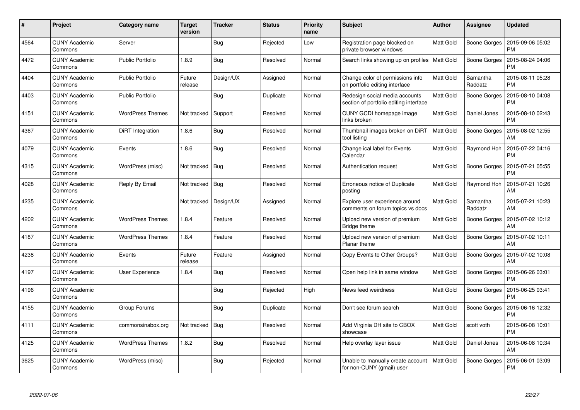| #    | Project                         | <b>Category name</b>    | <b>Target</b><br>version | <b>Tracker</b> | <b>Status</b> | <b>Priority</b><br>name | <b>Subject</b>                                                           | Author           | Assignee            | <b>Updated</b>                |
|------|---------------------------------|-------------------------|--------------------------|----------------|---------------|-------------------------|--------------------------------------------------------------------------|------------------|---------------------|-------------------------------|
| 4564 | <b>CUNY Academic</b><br>Commons | Server                  |                          | <b>Bug</b>     | Rejected      | Low                     | Registration page blocked on<br>private browser windows                  | Matt Gold        | Boone Gorges        | 2015-09-06 05:02<br>PM        |
| 4472 | <b>CUNY Academic</b><br>Commons | <b>Public Portfolio</b> | 1.8.9                    | Bug            | Resolved      | Normal                  | Search links showing up on profiles   Matt Gold                          |                  | <b>Boone Gorges</b> | 2015-08-24 04:06<br><b>PM</b> |
| 4404 | <b>CUNY Academic</b><br>Commons | <b>Public Portfolio</b> | Future<br>release        | Design/UX      | Assigned      | Normal                  | Change color of permissions info<br>on portfolio editing interface       | Matt Gold        | Samantha<br>Raddatz | 2015-08-11 05:28<br><b>PM</b> |
| 4403 | <b>CUNY Academic</b><br>Commons | <b>Public Portfolio</b> |                          | Bug            | Duplicate     | Normal                  | Redesign social media accounts<br>section of portfolio editing interface | Matt Gold        | <b>Boone Gorges</b> | 2015-08-10 04:08<br><b>PM</b> |
| 4151 | <b>CUNY Academic</b><br>Commons | <b>WordPress Themes</b> | Not tracked              | Support        | Resolved      | Normal                  | CUNY GCDI homepage image<br>links broken                                 | Matt Gold        | Daniel Jones        | 2015-08-10 02:43<br><b>PM</b> |
| 4367 | <b>CUNY Academic</b><br>Commons | DiRT Integration        | 1.8.6                    | <b>Bug</b>     | Resolved      | Normal                  | Thumbnail images broken on DiRT<br>tool listing                          | <b>Matt Gold</b> | Boone Gorges        | 2015-08-02 12:55<br>AM        |
| 4079 | <b>CUNY Academic</b><br>Commons | Events                  | 1.8.6                    | <b>Bug</b>     | Resolved      | Normal                  | Change ical label for Events<br>Calendar                                 | <b>Matt Gold</b> | Raymond Hoh         | 2015-07-22 04:16<br><b>PM</b> |
| 4315 | <b>CUNY Academic</b><br>Commons | WordPress (misc)        | Not tracked              | <b>Bug</b>     | Resolved      | Normal                  | Authentication request                                                   | Matt Gold        | Boone Gorges        | 2015-07-21 05:55<br><b>PM</b> |
| 4028 | <b>CUNY Academic</b><br>Commons | Reply By Email          | Not tracked              | Bug            | Resolved      | Normal                  | Erroneous notice of Duplicate<br>posting                                 | Matt Gold        | Raymond Hoh         | 2015-07-21 10:26<br>AM        |
| 4235 | <b>CUNY Academic</b><br>Commons |                         | Not tracked              | Design/UX      | Assigned      | Normal                  | Explore user experience around<br>comments on forum topics vs docs       | Matt Gold        | Samantha<br>Raddatz | 2015-07-21 10:23<br>AM        |
| 4202 | <b>CUNY Academic</b><br>Commons | <b>WordPress Themes</b> | 1.8.4                    | Feature        | Resolved      | Normal                  | Upload new version of premium<br>Bridge theme                            | Matt Gold        | <b>Boone Gorges</b> | 2015-07-02 10:12<br>AM        |
| 4187 | <b>CUNY Academic</b><br>Commons | <b>WordPress Themes</b> | 1.8.4                    | Feature        | Resolved      | Normal                  | Upload new version of premium<br>Planar theme                            | Matt Gold        | Boone Gorges        | 2015-07-02 10:11<br>AM        |
| 4238 | <b>CUNY Academic</b><br>Commons | Events                  | Future<br>release        | Feature        | Assigned      | Normal                  | Copy Events to Other Groups?                                             | Matt Gold        | Boone Gorges        | 2015-07-02 10:08<br>AM        |
| 4197 | <b>CUNY Academic</b><br>Commons | User Experience         | 1.8.4                    | Bug            | Resolved      | Normal                  | Open help link in same window                                            | Matt Gold        | Boone Gorges        | 2015-06-26 03:01<br><b>PM</b> |
| 4196 | <b>CUNY Academic</b><br>Commons |                         |                          | Bug            | Rejected      | High                    | News feed weirdness                                                      | Matt Gold        | Boone Gorges        | 2015-06-25 03:41<br><b>PM</b> |
| 4155 | <b>CUNY Academic</b><br>Commons | Group Forums            |                          | <b>Bug</b>     | Duplicate     | Normal                  | Don't see forum search                                                   | Matt Gold        | Boone Gorges        | 2015-06-16 12:32<br><b>PM</b> |
| 4111 | <b>CUNY Academic</b><br>Commons | commonsinabox.org       | Not tracked              | <b>Bug</b>     | Resolved      | Normal                  | Add Virginia DH site to CBOX<br>showcase                                 | Matt Gold        | scott voth          | 2015-06-08 10:01<br><b>PM</b> |
| 4125 | <b>CUNY Academic</b><br>Commons | <b>WordPress Themes</b> | 1.8.2                    | Bug            | Resolved      | Normal                  | Help overlay layer issue                                                 | Matt Gold        | Daniel Jones        | 2015-06-08 10:34<br>AM        |
| 3625 | <b>CUNY Academic</b><br>Commons | WordPress (misc)        |                          | <b>Bug</b>     | Rejected      | Normal                  | Unable to manually create account<br>for non-CUNY (gmail) user           | Matt Gold        | Boone Gorges        | 2015-06-01 03:09<br>PM        |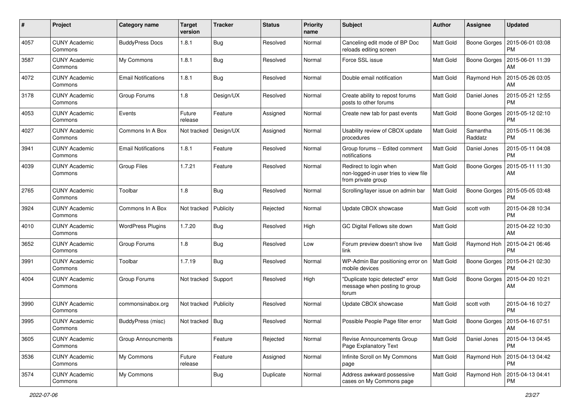| #    | Project                         | <b>Category name</b>       | <b>Target</b><br>version | <b>Tracker</b> | <b>Status</b> | <b>Priority</b><br>name | Subject                                                                               | <b>Author</b>    | <b>Assignee</b>     | <b>Updated</b>                |
|------|---------------------------------|----------------------------|--------------------------|----------------|---------------|-------------------------|---------------------------------------------------------------------------------------|------------------|---------------------|-------------------------------|
| 4057 | <b>CUNY Academic</b><br>Commons | <b>BuddyPress Docs</b>     | 1.8.1                    | Bug            | Resolved      | Normal                  | Canceling edit mode of BP Doc<br>reloads editing screen                               | Matt Gold        | <b>Boone Gorges</b> | 2015-06-01 03:08<br><b>PM</b> |
| 3587 | <b>CUNY Academic</b><br>Commons | My Commons                 | 1.8.1                    | Bug            | Resolved      | Normal                  | Force SSL issue                                                                       | Matt Gold        | Boone Gorges        | 2015-06-01 11:39<br>AM        |
| 4072 | <b>CUNY Academic</b><br>Commons | <b>Email Notifications</b> | 1.8.1                    | Bug            | Resolved      | Normal                  | Double email notification                                                             | Matt Gold        | Raymond Hoh         | 2015-05-26 03:05<br>AM        |
| 3178 | <b>CUNY Academic</b><br>Commons | Group Forums               | 1.8                      | Design/UX      | Resolved      | Normal                  | Create ability to repost forums<br>posts to other forums                              | Matt Gold        | Daniel Jones        | 2015-05-21 12:55<br><b>PM</b> |
| 4053 | <b>CUNY Academic</b><br>Commons | Events                     | Future<br>release        | Feature        | Assigned      | Normal                  | Create new tab for past events                                                        | Matt Gold        | Boone Gorges        | 2015-05-12 02:10<br><b>PM</b> |
| 4027 | <b>CUNY Academic</b><br>Commons | Commons In A Box           | Not tracked              | Design/UX      | Assigned      | Normal                  | Usability review of CBOX update<br>procedures                                         | Matt Gold        | Samantha<br>Raddatz | 2015-05-11 06:36<br><b>PM</b> |
| 3941 | <b>CUNY Academic</b><br>Commons | <b>Email Notifications</b> | 1.8.1                    | Feature        | Resolved      | Normal                  | Group forums -- Edited comment<br>notifications                                       | Matt Gold        | Daniel Jones        | 2015-05-11 04:08<br><b>PM</b> |
| 4039 | <b>CUNY Academic</b><br>Commons | <b>Group Files</b>         | 1.7.21                   | Feature        | Resolved      | Normal                  | Redirect to login when<br>non-logged-in user tries to view file<br>from private group | Matt Gold        | <b>Boone Gorges</b> | 2015-05-11 11:30<br>AM        |
| 2765 | <b>CUNY Academic</b><br>Commons | Toolbar                    | 1.8                      | Bug            | Resolved      | Normal                  | Scrolling/layer issue on admin bar                                                    | <b>Matt Gold</b> | <b>Boone Gorges</b> | 2015-05-05 03:48<br><b>PM</b> |
| 3924 | <b>CUNY Academic</b><br>Commons | Commons In A Box           | Not tracked              | Publicity      | Rejected      | Normal                  | Update CBOX showcase                                                                  | Matt Gold        | scott voth          | 2015-04-28 10:34<br><b>PM</b> |
| 4010 | <b>CUNY Academic</b><br>Commons | <b>WordPress Plugins</b>   | 1.7.20                   | <b>Bug</b>     | Resolved      | High                    | GC Digital Fellows site down                                                          | Matt Gold        |                     | 2015-04-22 10:30<br>AM        |
| 3652 | <b>CUNY Academic</b><br>Commons | Group Forums               | 1.8                      | <b>Bug</b>     | Resolved      | Low                     | Forum preview doesn't show live<br>link                                               | Matt Gold        | Raymond Hoh         | 2015-04-21 06:46<br><b>PM</b> |
| 3991 | <b>CUNY Academic</b><br>Commons | Toolbar                    | 1.7.19                   | <b>Bug</b>     | Resolved      | Normal                  | WP-Admin Bar positioning error on<br>mobile devices                                   | Matt Gold        | Boone Gorges        | 2015-04-21 02:30<br><b>PM</b> |
| 4004 | <b>CUNY Academic</b><br>Commons | Group Forums               | Not tracked              | Support        | Resolved      | High                    | "Duplicate topic detected" error<br>message when posting to group<br>forum            | Matt Gold        | Boone Gorges        | 2015-04-20 10:21<br>AM        |
| 3990 | <b>CUNY Academic</b><br>Commons | commonsinabox.org          | Not tracked              | Publicity      | Resolved      | Normal                  | Update CBOX showcase                                                                  | Matt Gold        | scott voth          | 2015-04-16 10:27<br><b>PM</b> |
| 3995 | <b>CUNY Academic</b><br>∪ommons | BuddyPress (misc)          | Not tracked   Bug        |                | Resolved      | Normal                  | Possible People Page filter error                                                     | Matt Gold        | Boone Gorges        | 2015-04-16 07:51<br>AM        |
| 3605 | <b>CUNY Academic</b><br>Commons | <b>Group Announcments</b>  |                          | Feature        | Rejected      | Normal                  | Revise Announcements Group<br>Page Explanatory Text                                   | Matt Gold        | Daniel Jones        | 2015-04-13 04:45<br><b>PM</b> |
| 3536 | <b>CUNY Academic</b><br>Commons | My Commons                 | Future<br>release        | Feature        | Assigned      | Normal                  | Infinite Scroll on My Commons<br>page                                                 | Matt Gold        | Raymond Hoh         | 2015-04-13 04:42<br><b>PM</b> |
| 3574 | <b>CUNY Academic</b><br>Commons | My Commons                 |                          | Bug            | Duplicate     | Normal                  | Address awkward possessive<br>cases on My Commons page                                | Matt Gold        | Raymond Hoh         | 2015-04-13 04:41<br><b>PM</b> |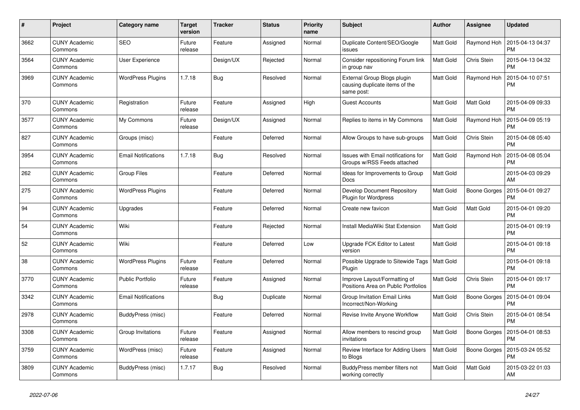| #    | Project                         | <b>Category name</b>       | <b>Target</b><br>version | <b>Tracker</b> | <b>Status</b> | <b>Priority</b><br>name | <b>Subject</b>                                                              | <b>Author</b>    | <b>Assignee</b> | <b>Updated</b>                |
|------|---------------------------------|----------------------------|--------------------------|----------------|---------------|-------------------------|-----------------------------------------------------------------------------|------------------|-----------------|-------------------------------|
| 3662 | <b>CUNY Academic</b><br>Commons | <b>SEO</b>                 | Future<br>release        | Feature        | Assigned      | Normal                  | Duplicate Content/SEO/Google<br>issues                                      | Matt Gold        | Raymond Hoh     | 2015-04-13 04:37<br><b>PM</b> |
| 3564 | <b>CUNY Academic</b><br>Commons | User Experience            |                          | Design/UX      | Rejected      | Normal                  | Consider repositioning Forum link<br>in group nav                           | Matt Gold        | Chris Stein     | 2015-04-13 04:32<br><b>PM</b> |
| 3969 | <b>CUNY Academic</b><br>Commons | <b>WordPress Plugins</b>   | 1.7.18                   | <b>Bug</b>     | Resolved      | Normal                  | External Group Blogs plugin<br>causing duplicate items of the<br>same post: | Matt Gold        | Raymond Hoh     | 2015-04-10 07:51<br><b>PM</b> |
| 370  | <b>CUNY Academic</b><br>Commons | Registration               | Future<br>release        | Feature        | Assigned      | High                    | <b>Guest Accounts</b>                                                       | Matt Gold        | Matt Gold       | 2015-04-09 09:33<br><b>PM</b> |
| 3577 | <b>CUNY Academic</b><br>Commons | My Commons                 | Future<br>release        | Design/UX      | Assigned      | Normal                  | Replies to items in My Commons                                              | Matt Gold        | Raymond Hoh     | 2015-04-09 05:19<br><b>PM</b> |
| 827  | <b>CUNY Academic</b><br>Commons | Groups (misc)              |                          | Feature        | Deferred      | Normal                  | Allow Groups to have sub-groups                                             | Matt Gold        | Chris Stein     | 2015-04-08 05:40<br><b>PM</b> |
| 3954 | <b>CUNY Academic</b><br>Commons | <b>Email Notifications</b> | 1.7.18                   | <b>Bug</b>     | Resolved      | Normal                  | <b>Issues with Email notifications for</b><br>Groups w/RSS Feeds attached   | <b>Matt Gold</b> | Raymond Hoh     | 2015-04-08 05:04<br><b>PM</b> |
| 262  | <b>CUNY Academic</b><br>Commons | Group Files                |                          | Feature        | Deferred      | Normal                  | Ideas for Improvements to Group<br>Docs                                     | Matt Gold        |                 | 2015-04-03 09:29<br>AM        |
| 275  | <b>CUNY Academic</b><br>Commons | <b>WordPress Plugins</b>   |                          | Feature        | Deferred      | Normal                  | Develop Document Repository<br>Plugin for Wordpress                         | Matt Gold        | Boone Gorges    | 2015-04-01 09:27<br><b>PM</b> |
| 94   | <b>CUNY Academic</b><br>Commons | Upgrades                   |                          | Feature        | Deferred      | Normal                  | Create new favicon                                                          | Matt Gold        | Matt Gold       | 2015-04-01 09:20<br><b>PM</b> |
| 54   | <b>CUNY Academic</b><br>Commons | Wiki                       |                          | Feature        | Rejected      | Normal                  | Install MediaWiki Stat Extension                                            | <b>Matt Gold</b> |                 | 2015-04-01 09:19<br><b>PM</b> |
| 52   | <b>CUNY Academic</b><br>Commons | Wiki                       |                          | Feature        | Deferred      | Low                     | Upgrade FCK Editor to Latest<br>version                                     | Matt Gold        |                 | 2015-04-01 09:18<br><b>PM</b> |
| 38   | <b>CUNY Academic</b><br>Commons | <b>WordPress Plugins</b>   | Future<br>release        | Feature        | Deferred      | Normal                  | Possible Upgrade to Sitewide Tags<br>Plugin                                 | Matt Gold        |                 | 2015-04-01 09:18<br><b>PM</b> |
| 3770 | <b>CUNY Academic</b><br>Commons | <b>Public Portfolio</b>    | Future<br>release        | Feature        | Assigned      | Normal                  | Improve Layout/Formatting of<br>Positions Area on Public Portfolios         | Matt Gold        | Chris Stein     | 2015-04-01 09:17<br><b>PM</b> |
| 3342 | <b>CUNY Academic</b><br>Commons | <b>Email Notifications</b> |                          | Bug            | Duplicate     | Normal                  | <b>Group Invitation Email Links</b><br>Incorrect/Non-Working                | Matt Gold        | Boone Gorges    | 2015-04-01 09:04<br><b>PM</b> |
| 2978 | <b>CUNY Academic</b><br>Commons | BuddyPress (misc)          |                          | Feature        | Deferred      | Normal                  | Revise Invite Anyone Workflow                                               | Matt Gold        | Chris Stein     | 2015-04-01 08:54<br><b>PM</b> |
| 3308 | <b>CUNY Academic</b><br>Commons | Group Invitations          | Future<br>release        | Feature        | Assigned      | Normal                  | Allow members to rescind group<br>invitations                               | Matt Gold        | Boone Gorges    | 2015-04-01 08:53<br><b>PM</b> |
| 3759 | <b>CUNY Academic</b><br>Commons | WordPress (misc)           | Future<br>release        | Feature        | Assigned      | Normal                  | Review Interface for Adding Users<br>to Blogs                               | Matt Gold        | Boone Gorges    | 2015-03-24 05:52<br>PM        |
| 3809 | <b>CUNY Academic</b><br>Commons | BuddyPress (misc)          | 1.7.17                   | Bug            | Resolved      | Normal                  | BuddyPress member filters not<br>working correctly                          | Matt Gold        | Matt Gold       | 2015-03-22 01:03<br>AM        |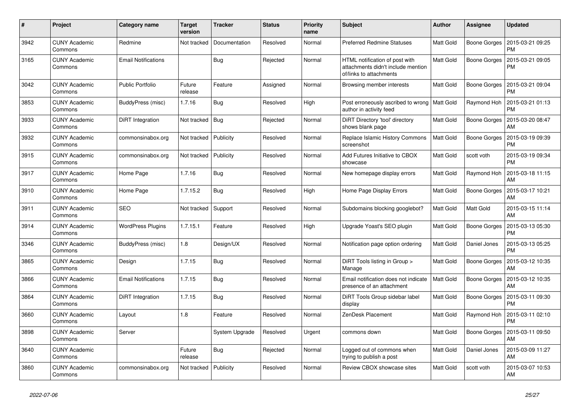| $\#$ | Project                         | Category name              | <b>Target</b><br>version | <b>Tracker</b>   | <b>Status</b> | <b>Priority</b><br>name | <b>Subject</b>                                                                                  | <b>Author</b>    | <b>Assignee</b> | <b>Updated</b>                |
|------|---------------------------------|----------------------------|--------------------------|------------------|---------------|-------------------------|-------------------------------------------------------------------------------------------------|------------------|-----------------|-------------------------------|
| 3942 | <b>CUNY Academic</b><br>Commons | Redmine                    | Not tracked              | Documentation    | Resolved      | Normal                  | <b>Preferred Redmine Statuses</b>                                                               | Matt Gold        | Boone Gorges    | 2015-03-21 09:25<br><b>PM</b> |
| 3165 | <b>CUNY Academic</b><br>Commons | <b>Email Notifications</b> |                          | Bug              | Rejected      | Normal                  | HTML notification of post with<br>attachments didn't include mention<br>of/links to attachments | Matt Gold        | Boone Gorges    | 2015-03-21 09:05<br>PM        |
| 3042 | <b>CUNY Academic</b><br>Commons | <b>Public Portfolio</b>    | Future<br>release        | Feature          | Assigned      | Normal                  | Browsing member interests                                                                       | Matt Gold        | Boone Gorges    | 2015-03-21 09:04<br><b>PM</b> |
| 3853 | <b>CUNY Academic</b><br>Commons | BuddyPress (misc)          | 1.7.16                   | <b>Bug</b>       | Resolved      | High                    | Post erroneously ascribed to wrong   Matt Gold<br>author in activity feed                       |                  | Raymond Hoh     | 2015-03-21 01:13<br><b>PM</b> |
| 3933 | <b>CUNY Academic</b><br>Commons | DiRT Integration           | Not tracked              | Bug              | Rejected      | Normal                  | DiRT Directory 'tool' directory<br>shows blank page                                             | Matt Gold        | Boone Gorges    | 2015-03-20 08:47<br>AM        |
| 3932 | <b>CUNY Academic</b><br>Commons | commonsinabox.org          | Not tracked              | <b>Publicity</b> | Resolved      | Normal                  | <b>Replace Islamic History Commons</b><br>screenshot                                            | <b>Matt Gold</b> | Boone Gorges    | 2015-03-19 09:39<br><b>PM</b> |
| 3915 | <b>CUNY Academic</b><br>Commons | commonsinabox.org          | Not tracked              | Publicity        | Resolved      | Normal                  | Add Futures Initiative to CBOX<br>showcase                                                      | Matt Gold        | scott voth      | 2015-03-19 09:34<br><b>PM</b> |
| 3917 | <b>CUNY Academic</b><br>Commons | Home Page                  | 1.7.16                   | <b>Bug</b>       | Resolved      | Normal                  | New homepage display errors                                                                     | Matt Gold        | Raymond Hoh     | 2015-03-18 11:15<br>AM        |
| 3910 | <b>CUNY Academic</b><br>Commons | Home Page                  | 1.7.15.2                 | <b>Bug</b>       | Resolved      | High                    | Home Page Display Errors                                                                        | Matt Gold        | Boone Gorges    | 2015-03-17 10:21<br>AM        |
| 3911 | <b>CUNY Academic</b><br>Commons | <b>SEO</b>                 | Not tracked              | Support          | Resolved      | Normal                  | Subdomains blocking googlebot?                                                                  | <b>Matt Gold</b> | Matt Gold       | 2015-03-15 11:14<br>AM        |
| 3914 | <b>CUNY Academic</b><br>Commons | <b>WordPress Plugins</b>   | 1.7.15.1                 | Feature          | Resolved      | High                    | Upgrade Yoast's SEO plugin                                                                      | Matt Gold        | Boone Gorges    | 2015-03-13 05:30<br><b>PM</b> |
| 3346 | <b>CUNY Academic</b><br>Commons | BuddyPress (misc)          | 1.8                      | Design/UX        | Resolved      | Normal                  | Notification page option ordering                                                               | <b>Matt Gold</b> | Daniel Jones    | 2015-03-13 05:25<br><b>PM</b> |
| 3865 | <b>CUNY Academic</b><br>Commons | Design                     | 1.7.15                   | Bug              | Resolved      | Normal                  | DiRT Tools listing in Group ><br>Manage                                                         | Matt Gold        | Boone Gorges    | 2015-03-12 10:35<br>AM        |
| 3866 | <b>CUNY Academic</b><br>Commons | <b>Email Notifications</b> | 1.7.15                   | Bug              | Resolved      | Normal                  | Email notification does not indicate<br>presence of an attachment                               | Matt Gold        | Boone Gorges    | 2015-03-12 10:35<br>AM        |
| 3864 | <b>CUNY Academic</b><br>Commons | DiRT Integration           | 1.7.15                   | <b>Bug</b>       | Resolved      | Normal                  | DiRT Tools Group sidebar label<br>display                                                       | <b>Matt Gold</b> | Boone Gorges    | 2015-03-11 09:30<br><b>PM</b> |
| 3660 | <b>CUNY Academic</b><br>Commons | Layout                     | 1.8                      | Feature          | Resolved      | Normal                  | ZenDesk Placement                                                                               | Matt Gold        | Raymond Hoh     | 2015-03-11 02:10<br>PM        |
| 3898 | <b>CUNY Academic</b><br>Commons | Server                     |                          | System Upgrade   | Resolved      | Urgent                  | commons down                                                                                    | Matt Gold        | Boone Gorges    | 2015-03-11 09:50<br>AM        |
| 3640 | <b>CUNY Academic</b><br>Commons |                            | Future<br>release        | <b>Bug</b>       | Rejected      | Normal                  | Logged out of commons when<br>trying to publish a post                                          | <b>Matt Gold</b> | Daniel Jones    | 2015-03-09 11:27<br>AM        |
| 3860 | <b>CUNY Academic</b><br>Commons | commonsinabox.org          | Not tracked              | Publicity        | Resolved      | Normal                  | Review CBOX showcase sites                                                                      | Matt Gold        | scott voth      | 2015-03-07 10:53<br>AM        |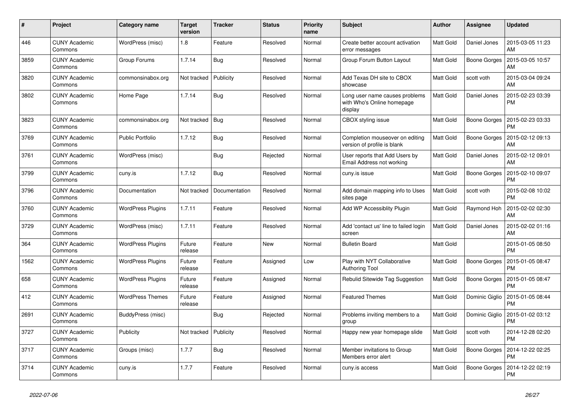| #    | Project                         | <b>Category name</b>     | <b>Target</b><br>version | <b>Tracker</b> | <b>Status</b> | Priority<br>name | <b>Subject</b>                                                          | <b>Author</b> | <b>Assignee</b>     | <b>Updated</b>                |
|------|---------------------------------|--------------------------|--------------------------|----------------|---------------|------------------|-------------------------------------------------------------------------|---------------|---------------------|-------------------------------|
| 446  | <b>CUNY Academic</b><br>Commons | WordPress (misc)         | 1.8                      | Feature        | Resolved      | Normal           | Create better account activation<br>error messages                      | Matt Gold     | Daniel Jones        | 2015-03-05 11:23<br>AM        |
| 3859 | <b>CUNY Academic</b><br>Commons | Group Forums             | 1.7.14                   | Bug            | Resolved      | Normal           | Group Forum Button Layout                                               | Matt Gold     | Boone Gorges        | 2015-03-05 10:57<br>AM        |
| 3820 | <b>CUNY Academic</b><br>Commons | commonsinabox.org        | Not tracked              | Publicity      | Resolved      | Normal           | Add Texas DH site to CBOX<br>showcase                                   | Matt Gold     | scott voth          | 2015-03-04 09:24<br>AM        |
| 3802 | <b>CUNY Academic</b><br>Commons | Home Page                | 1.7.14                   | Bug            | Resolved      | Normal           | Long user name causes problems<br>with Who's Online homepage<br>display | Matt Gold     | Daniel Jones        | 2015-02-23 03:39<br><b>PM</b> |
| 3823 | <b>CUNY Academic</b><br>Commons | commonsinabox.org        | Not tracked              | <b>Bug</b>     | Resolved      | Normal           | CBOX styling issue                                                      | Matt Gold     | Boone Gorges        | 2015-02-23 03:33<br><b>PM</b> |
| 3769 | <b>CUNY Academic</b><br>Commons | <b>Public Portfolio</b>  | 1.7.12                   | <b>Bug</b>     | Resolved      | Normal           | Completion mouseover on editing<br>version of profile is blank          | Matt Gold     | Boone Gorges        | 2015-02-12 09:13<br><b>AM</b> |
| 3761 | <b>CUNY Academic</b><br>Commons | WordPress (misc)         |                          | <b>Bug</b>     | Rejected      | Normal           | User reports that Add Users by<br>Email Address not working             | Matt Gold     | Daniel Jones        | 2015-02-12 09:01<br><b>AM</b> |
| 3799 | <b>CUNY Academic</b><br>Commons | cuny.is                  | 1.7.12                   | <b>Bug</b>     | Resolved      | Normal           | cuny.is issue                                                           | Matt Gold     | Boone Gorges        | 2015-02-10 09:07<br><b>PM</b> |
| 3796 | <b>CUNY Academic</b><br>Commons | Documentation            | Not tracked              | Documentation  | Resolved      | Normal           | Add domain mapping info to Uses<br>sites page                           | Matt Gold     | scott voth          | 2015-02-08 10:02<br><b>PM</b> |
| 3760 | <b>CUNY Academic</b><br>Commons | <b>WordPress Plugins</b> | 1.7.11                   | Feature        | Resolved      | Normal           | Add WP Accessiblity Plugin                                              | Matt Gold     | Raymond Hoh         | 2015-02-02 02:30<br><b>AM</b> |
| 3729 | <b>CUNY Academic</b><br>Commons | WordPress (misc)         | 1.7.11                   | Feature        | Resolved      | Normal           | Add 'contact us' line to failed login<br>screen                         | Matt Gold     | Daniel Jones        | 2015-02-02 01:16<br>AM        |
| 364  | <b>CUNY Academic</b><br>Commons | <b>WordPress Plugins</b> | Future<br>release        | Feature        | New           | Normal           | <b>Bulletin Board</b>                                                   | Matt Gold     |                     | 2015-01-05 08:50<br><b>PM</b> |
| 1562 | <b>CUNY Academic</b><br>Commons | <b>WordPress Plugins</b> | Future<br>release        | Feature        | Assigned      | Low              | Play with NYT Collaborative<br><b>Authoring Tool</b>                    | Matt Gold     | <b>Boone Gorges</b> | 2015-01-05 08:47<br><b>PM</b> |
| 658  | <b>CUNY Academic</b><br>Commons | <b>WordPress Plugins</b> | Future<br>release        | Feature        | Assigned      | Normal           | Rebulid Sitewide Tag Suggestion                                         | Matt Gold     | Boone Gorges        | 2015-01-05 08:47<br>PM        |
| 412  | <b>CUNY Academic</b><br>Commons | <b>WordPress Themes</b>  | Future<br>release        | Feature        | Assigned      | Normal           | <b>Featured Themes</b>                                                  | Matt Gold     | Dominic Giglio      | 2015-01-05 08:44<br><b>PM</b> |
| 2691 | <b>CUNY Academic</b><br>Commons | BuddyPress (misc)        |                          | Bug            | Rejected      | Normal           | Problems inviting members to a<br>group                                 | Matt Gold     | Dominic Giglio      | 2015-01-02 03:12<br>PM        |
| 3727 | <b>CUNY Academic</b><br>Commons | Publicity                | Not tracked              | Publicity      | Resolved      | Normal           | Happy new year homepage slide                                           | Matt Gold     | scott voth          | 2014-12-28 02:20<br><b>PM</b> |
| 3717 | <b>CUNY Academic</b><br>Commons | Groups (misc)            | 1.7.7                    | <b>Bug</b>     | Resolved      | Normal           | Member invitations to Group<br>Members error alert                      | Matt Gold     | Boone Gorges        | 2014-12-22 02:25<br><b>PM</b> |
| 3714 | <b>CUNY Academic</b><br>Commons | cuny.is                  | 1.7.7                    | Feature        | Resolved      | Normal           | cuny.is access                                                          | Matt Gold     | Boone Gorges        | 2014-12-22 02:19<br><b>PM</b> |